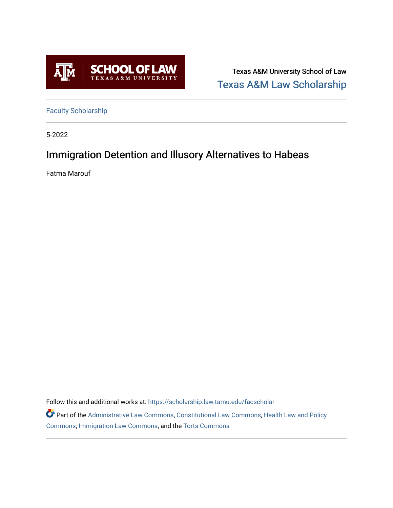

Texas A&M University School of Law [Texas A&M Law Scholarship](https://scholarship.law.tamu.edu/) 

[Faculty Scholarship](https://scholarship.law.tamu.edu/facscholar)

5-2022

## Immigration Detention and Illusory Alternatives to Habeas

Fatma Marouf

Follow this and additional works at: [https://scholarship.law.tamu.edu/facscholar](https://scholarship.law.tamu.edu/facscholar?utm_source=scholarship.law.tamu.edu%2Ffacscholar%2F1553&utm_medium=PDF&utm_campaign=PDFCoverPages) 

Part of the [Administrative Law Commons,](https://network.bepress.com/hgg/discipline/579?utm_source=scholarship.law.tamu.edu%2Ffacscholar%2F1553&utm_medium=PDF&utm_campaign=PDFCoverPages) [Constitutional Law Commons,](https://network.bepress.com/hgg/discipline/589?utm_source=scholarship.law.tamu.edu%2Ffacscholar%2F1553&utm_medium=PDF&utm_campaign=PDFCoverPages) [Health Law and Policy](https://network.bepress.com/hgg/discipline/901?utm_source=scholarship.law.tamu.edu%2Ffacscholar%2F1553&utm_medium=PDF&utm_campaign=PDFCoverPages) [Commons](https://network.bepress.com/hgg/discipline/901?utm_source=scholarship.law.tamu.edu%2Ffacscholar%2F1553&utm_medium=PDF&utm_campaign=PDFCoverPages), [Immigration Law Commons,](https://network.bepress.com/hgg/discipline/604?utm_source=scholarship.law.tamu.edu%2Ffacscholar%2F1553&utm_medium=PDF&utm_campaign=PDFCoverPages) and the [Torts Commons](https://network.bepress.com/hgg/discipline/913?utm_source=scholarship.law.tamu.edu%2Ffacscholar%2F1553&utm_medium=PDF&utm_campaign=PDFCoverPages)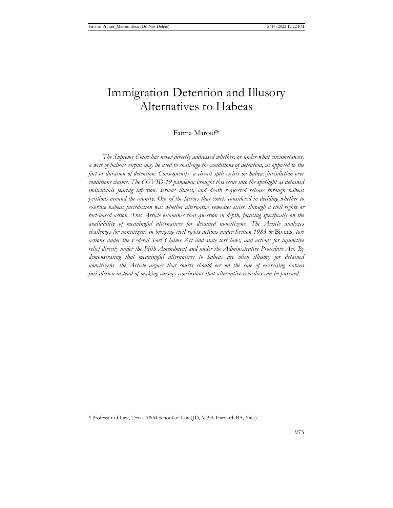# Immigration Detention and Illusory Alternatives to Habeas

## Fatma Marouf\*

*The Supreme Court has never directly addressed whether, or under what circumstances, a writ of habeas corpus may be used to challenge the conditions of detention, as opposed to the fact or duration of detention. Consequently, a circuit split exists on habeas jurisdiction over conditions claims. The COVID-19 pandemic brought this issue into the spotlight as detained individuals fearing infection, serious illness, and death requested release through habeas petitions around the country. One of the factors that courts considered in deciding whether to exercise habeas jurisdiction was whether alternative remedies exist, through a civil rights or tort-based action. This Article examines that question in depth, focusing specifically on the availability of meaningful alternatives for detained noncitizens. The Article analyzes challenges for noncitizens in bringing civil rights actions under Section 1983 or* Bivens*, tort actions under the Federal Tort Claims Act and state tort laws, and actions for injunctive relief directly under the Fifth Amendment and under the Administrative Procedure Act. By demonstrating that meaningful alternatives to habeas are often illusory for detained noncitizens, the Article argues that courts should err on the side of exercising habeas jurisdiction instead of making cursory conclusions that alternative remedies can be pursued.* 

<sup>\*</sup> Professor of Law, Texas A&M School of Law (JD, MPH, Harvard; BA, Yale).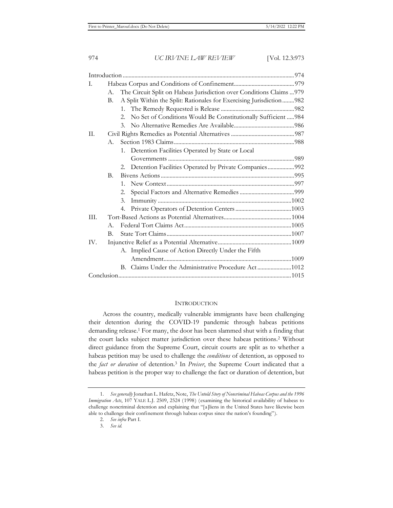| I.   |                                                                            |         |                                                                   |  |
|------|----------------------------------------------------------------------------|---------|-------------------------------------------------------------------|--|
|      | The Circuit Split on Habeas Jurisdiction over Conditions Claims  979<br>A. |         |                                                                   |  |
|      | A Split Within the Split: Rationales for Exercising Jurisdiction 982<br>В. |         |                                                                   |  |
|      |                                                                            |         |                                                                   |  |
|      |                                                                            |         | 2. No Set of Conditions Would Be Constitutionally Sufficient  984 |  |
|      |                                                                            |         |                                                                   |  |
| II.  |                                                                            |         |                                                                   |  |
|      | A.                                                                         |         |                                                                   |  |
|      |                                                                            |         | 1. Detention Facilities Operated by State or Local                |  |
|      |                                                                            |         |                                                                   |  |
|      |                                                                            | 2.      | Detention Facilities Operated by Private Companies992             |  |
|      | $\mathbf{B}$ .                                                             |         |                                                                   |  |
|      |                                                                            | $1_{-}$ |                                                                   |  |
|      |                                                                            | 2.      |                                                                   |  |
|      |                                                                            | 3.      |                                                                   |  |
|      |                                                                            | 4.      |                                                                   |  |
| III. |                                                                            |         |                                                                   |  |
|      | $A_{-}$                                                                    |         |                                                                   |  |
|      | В.                                                                         |         |                                                                   |  |
| IV.  |                                                                            |         |                                                                   |  |
|      |                                                                            |         | A. Implied Cause of Action Directly Under the Fifth               |  |
|      |                                                                            |         |                                                                   |  |
|      |                                                                            |         | B. Claims Under the Administrative Procedure Act1012              |  |
|      |                                                                            |         |                                                                   |  |
|      |                                                                            |         |                                                                   |  |

## **INTRODUCTION**

Across the country, medically vulnerable immigrants have been challenging their detention during the COVID-19 pandemic through habeas petitions demanding release.1 For many, the door has been slammed shut with a finding that the court lacks subject matter jurisdiction over these habeas petitions.2 Without direct guidance from the Supreme Court, circuit courts are split as to whether a habeas petition may be used to challenge the *conditions* of detention, as opposed to the *fact or duration* of detention.3 In *Preiser*, the Supreme Court indicated that a habeas petition is the proper way to challenge the fact or duration of detention, but

<sup>1.</sup> *See generally* Jonathan L. Hafetz, Note, *The Untold Story of Noncriminal Habeas Corpus and the 1996 Immigration Acts*, 107 YALE L.J. 2509, 2524 (1998) (examining the historical availability of habeas to challenge noncriminal detention and explaining that "[a]liens in the United States have likewise been able to challenge their confinement through habeas corpus since the nation's founding").

<sup>2.</sup> *See infra* Part I.

<sup>3.</sup> *See id.*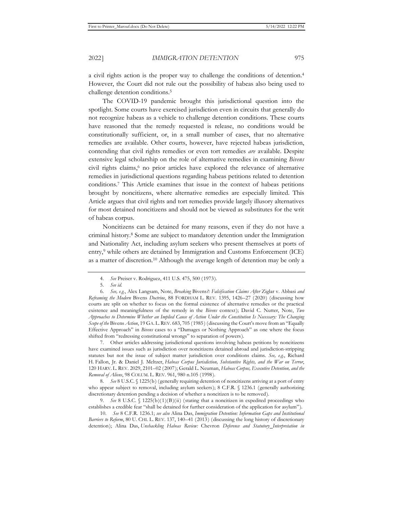a civil rights action is the proper way to challenge the conditions of detention.4 However, the Court did not rule out the possibility of habeas also being used to challenge detention conditions.<sup>5</sup>

The COVID-19 pandemic brought this jurisdictional question into the spotlight. Some courts have exercised jurisdiction even in circuits that generally do not recognize habeas as a vehicle to challenge detention conditions. These courts have reasoned that the remedy requested is release, no conditions would be constitutionally sufficient, or, in a small number of cases, that no alternative remedies are available. Other courts, however, have rejected habeas jurisdiction, contending that civil rights remedies or even tort remedies *are* available. Despite extensive legal scholarship on the role of alternative remedies in examining *Bivens*  civil rights claims,<sup>6</sup> no prior articles have explored the relevance of alternative remedies in jurisdictional questions regarding habeas petitions related to detention conditions.7 This Article examines that issue in the context of habeas petitions brought by noncitizens, where alternative remedies are especially limited. This Article argues that civil rights and tort remedies provide largely illusory alternatives for most detained noncitizens and should not be viewed as substitutes for the writ of habeas corpus.

Noncitizens can be detained for many reasons, even if they do not have a criminal history.8 Some are subject to mandatory detention under the Immigration and Nationality Act, including asylum seekers who present themselves at ports of entry,9 while others are detained by Immigration and Customs Enforcement (ICE) as a matter of discretion.10 Although the average length of detention may be only a

7. Other articles addressing jurisdictional questions involving habeas petitions by noncitizens have examined issues such as jurisdiction over noncitizens detained abroad and jurisdiction-stripping statutes but not the issue of subject matter jurisdiction over conditions claims. *See, e.g.*, Richard H. Fallon, Jr. & Daniel J. Meltzer, *Habeas Corpus Jurisdiction, Substantive Rights, and the War on Terror*, 120 HARV. L. REV. 2029, 2101–02 (2007); Gerald L. Neuman, *Habeas Corpus, Executive Detention, and the Removal of Aliens*, 98 COLUM. L. REV. 961, 980 n.105 (1998).

8. *See* 8 U.S.C. § 1225(b) (generally requiring detention of noncitizens arriving at a port of entry who appear subject to removal, including asylum seekers); 8 C.F.R. § 1236.1 (generally authorizing discretionary detention pending a decision of whether a noncitizen is to be removed).

9. *See* 8 U.S.C. § 1225(b)(1)(B)(ii) (stating that a noncitizen in expedited proceedings who establishes a credible fear "shall be detained for further consideration of the application for asylum").

10. *See* 8 C.F.R. 1236.1; *see also* Alina Das, *Immigration Detention: Information Gaps and Institutional Barriers to Reform*, 80 U. CHI. L. REV. 137, 140–41 (2013) (discussing the long history of discretionary detention); Alina Das, *Unshackling Habeas Review:* Chevron *Deference and Statutory Interpretation in* 

<sup>4.</sup> *See* Preiser v. Rodriguez, 411 U.S. 475, 500 (1973).

<sup>5.</sup> *See id.* 

<sup>6.</sup> *See, e.g.*, Alex Langsam, Note, *Breaking* Bivens*?: Falsification Claims After* Ziglar v. Abbasi *and Reframing the Modern* Bivens *Doctrine*, 88 FORDHAM L. REV. 1395, 1426–27 (2020) (discussing how courts are split on whether to focus on the formal existence of alternative remedies or the practical existence and meaningfulness of the remedy in the *Bivens* context); David C. Nutter, Note, *Two Approaches to Determine Whether an Implied Cause of Action Under the Constitution Is Necessary: The Changing Scope of the* Bivens *Action*, 19 GA. L.REV. 683, 705 (1985) (discussing the Court's move from an "Equally Effective Approach" in *Bivens* cases to a "Damages or Nothing Approach" as one where the focus shifted from "redressing constitutional wrongs" to separation of powers).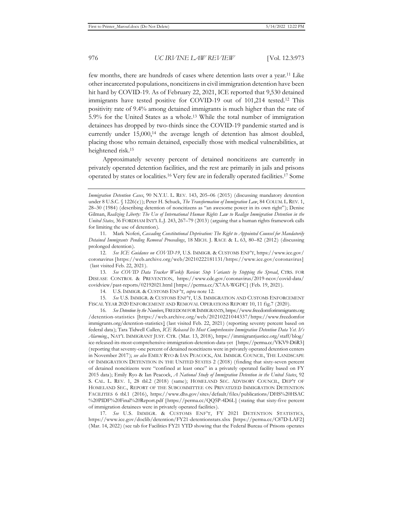few months, there are hundreds of cases where detention lasts over a year.11 Like other incarcerated populations, noncitizens in civil immigration detention have been hit hard by COVID-19. As of February 22, 2021, ICE reported that 9,530 detained immigrants have tested positive for COVID-19 out of 101,214 tested.12 This positivity rate of 9.4% among detained immigrants is much higher than the rate of 5.9% for the United States as a whole.13 While the total number of immigration detainees has dropped by two-thirds since the COVID-19 pandemic started and is currently under 15,000,<sup>14</sup> the average length of detention has almost doubled, placing those who remain detained, especially those with medical vulnerabilities, at heightened risk.15

Approximately seventy percent of detained noncitizens are currently in privately operated detention facilities, and the rest are primarily in jails and prisons operated by states or localities.16 Very few are in federally operated facilities.17 Some

13. *See COVID Data Tracker Weekly Review*: *Stop Variants by Stopping the Spread*, CTRS. FOR DISEASE CONTROL & PREVENTION, https://www.cdc.gov/coronavirus/2019-ncov/covid-data/ covidview/past-reports/02192021.html [https://perma.cc/X7AA-WGFC] (Feb. 19, 2021).

14. U.S. IMMIGR. & CUSTOMS ENF'T, *supra* note 12.

15. *See* U.S. IMMIGR. & CUSTOMS ENF'T, U.S. IMMIGRATION AND CUSTOMS ENFORCEMENT FISCAL YEAR 2020 ENFORCEMENT AND REMOVAL OPERATIONS REPORT 10, 11 fig.7 (2020).

16. *See Detention by the Numbers*, FREEDOM FOR IMMIGRANTS, https://www.freedomforimmigrants.org /detention-statistics [https://web.archive.org/web/20210221044337/https://www.freedomfor immigrants.org/detention-statistics] (last visited Feb. 22, 2021) (reporting seventy percent based on federal data); Tara Tidwell Cullen, *ICE Released Its Most Comprehensive Immigration Detention Data Yet. It's Alarming.*, NAT'L IMMIGRANT JUST. CTR. (Mar. 13, 2018), https://immigrantjustice.org/staff/blog/ ice-released-its-most-comprehensive-immigration-detention-data-yet [https://perma.cc/VKV9-D6R3] (reporting that seventy-one percent of detained noncitizens were in privately operated detention centers in November 2017); *see also* EMILY RYO & IAN PEACOCK, AM. IMMIGR. COUNCIL, THE LANDSCAPE OF IMMIGRATION DETENTION IN THE UNITED STATES 2 (2018) (finding that sixty-seven percent of detained noncitizens were "confined at least once" in a privately operated facility based on FY 2015 data); Emily Ryo & Ian Peacock, *A National Study of Immigration Detention in the United States*, 92 S. CAL. L. REV. 1, 28 tbl.2 (2018) (same); HOMELAND SEC. ADVISORY COUNCIL, DEP'T OF HOMELAND SEC., REPORT OF THE SUBCOMMITTEE ON PRIVATIZED IMMIGRATION DETENTION FACILITIES 6 tbl.1 (2016), https://www.dhs.gov/sites/default/files/publications/DHS%20HSAC %20PIDF%20Final%20Report.pdf [https://perma.cc/QQ5P-4D6L] (stating that sixty-five percent of immigration detainees were in privately operated facilities).

17. *See* U.S. IMMIGR. & CUSTOMS ENF'T, FY 2021 DETENTION STATISTICS, https://www.ice.gov/doclib/detention/FY21-detentionstats.xlsx [https://perma.cc/C87D-LAF2] (Mar. 14, 2022) (see tab for Facilities FY21 YTD showing that the Federal Bureau of Prisons operates

*Immigration Detention Cases*, 90 N.Y.U. L. REV. 143, 205–06 (2015) (discussing mandatory detention under 8 U.S.C. § 1226(c)); Peter H. Schuck, *The Transformation of Immigration Law*, 84 COLUM. L.REV. 1, 28–30 (1984) (describing detention of noncitizens as "an awesome power in its own right"); Denise Gilman, *Realizing Liberty: The Use of International Human Rights Law to Realign Immigration Detention in the United States*, 36 FORDHAM INT'L L.J. 243, 267–79 (2013) (arguing that a human rights framework calls for limiting the use of detention).

<sup>11.</sup> Mark Noferi, *Cascading Constitutional Deprivation: The Right to Appointed Counsel for Mandatorily Detained Immigrants Pending Removal Proceedings*, 18 MICH. J. RACE & L. 63, 80–82 (2012) (discussing prolonged detention).

<sup>12.</sup> *See ICE Guidance on COVID-19*, U.S. IMMIGR. & CUSTOMS ENF'T, https://www.ice.gov/ coronavirus [https://web.archive.org/web/20210222181131/https://www.ice.gov/coronavirus] (last visited Feb. 22, 2021).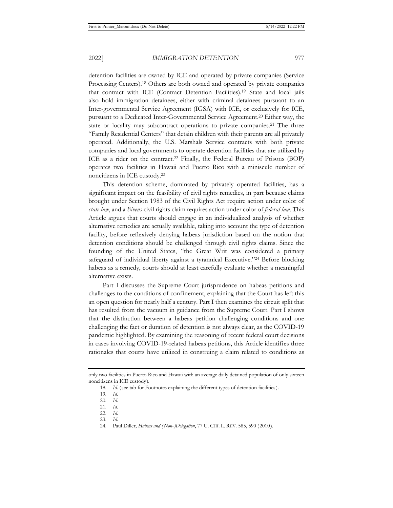detention facilities are owned by ICE and operated by private companies (Service Processing Centers).18 Others are both owned and operated by private companies that contract with ICE (Contract Detention Facilities).19 State and local jails also hold immigration detainees, either with criminal detainees pursuant to an Inter-governmental Service Agreement (IGSA) with ICE, or exclusively for ICE, pursuant to a Dedicated Inter-Governmental Service Agreement.20 Either way, the state or locality may subcontract operations to private companies.<sup>21</sup> The three "Family Residential Centers" that detain children with their parents are all privately operated. Additionally, the U.S. Marshals Service contracts with both private companies and local governments to operate detention facilities that are utilized by ICE as a rider on the contract.22 Finally, the Federal Bureau of Prisons (BOP) operates two facilities in Hawaii and Puerto Rico with a miniscule number of noncitizens in ICE custody.23

This detention scheme, dominated by privately operated facilities, has a significant impact on the feasibility of civil rights remedies, in part because claims brought under Section 1983 of the Civil Rights Act require action under color of *state law*, and a *Bivens* civil rights claim requires action under color of *federal law*. This Article argues that courts should engage in an individualized analysis of whether alternative remedies are actually available, taking into account the type of detention facility, before reflexively denying habeas jurisdiction based on the notion that detention conditions should be challenged through civil rights claims. Since the founding of the United States, "the Great Writ was considered a primary safeguard of individual liberty against a tyrannical Executive."24 Before blocking habeas as a remedy, courts should at least carefully evaluate whether a meaningful alternative exists.

Part I discusses the Supreme Court jurisprudence on habeas petitions and challenges to the conditions of confinement, explaining that the Court has left this an open question for nearly half a century. Part I then examines the circuit split that has resulted from the vacuum in guidance from the Supreme Court. Part I shows that the distinction between a habeas petition challenging conditions and one challenging the fact or duration of detention is not always clear, as the COVID-19 pandemic highlighted. By examining the reasoning of recent federal court decisions in cases involving COVID-19-related habeas petitions, this Article identifies three rationales that courts have utilized in construing a claim related to conditions as

only two facilities in Puerto Rico and Hawaii with an average daily detained population of only sixteen noncitizens in ICE custody).

<sup>18.</sup> *Id.* (see tab for Footnotes explaining the different types of detention facilities).

<sup>19.</sup> *Id.* 

<sup>20.</sup> *Id.* 

<sup>21.</sup> *Id.* 

<sup>22.</sup> *Id.* 

<sup>23.</sup> *Id.* 

<sup>24.</sup> Paul Diller, *Habeas and (Non-)Delegation*, 77 U. CHI. L. REV. 585, 590 (2010).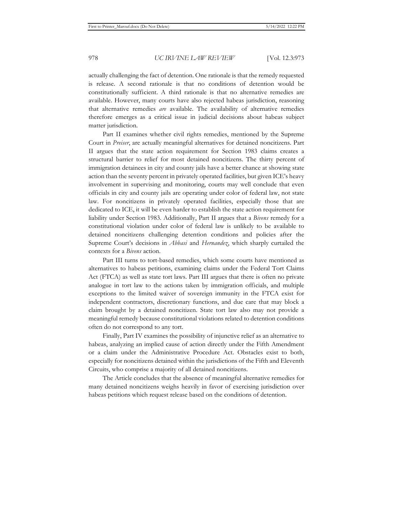actually challenging the fact of detention. One rationale is that the remedy requested is release. A second rationale is that no conditions of detention would be constitutionally sufficient. A third rationale is that no alternative remedies are available. However, many courts have also rejected habeas jurisdiction, reasoning that alternative remedies *are* available. The availability of alternative remedies therefore emerges as a critical issue in judicial decisions about habeas subject matter jurisdiction.

Part II examines whether civil rights remedies, mentioned by the Supreme Court in *Preiser*, are actually meaningful alternatives for detained noncitizens. Part II argues that the state action requirement for Section 1983 claims creates a structural barrier to relief for most detained noncitizens. The thirty percent of immigration detainees in city and county jails have a better chance at showing state action than the seventy percent in privately operated facilities, but given ICE's heavy involvement in supervising and monitoring, courts may well conclude that even officials in city and county jails are operating under color of federal law, not state law. For noncitizens in privately operated facilities, especially those that are dedicated to ICE, it will be even harder to establish the state action requirement for liability under Section 1983. Additionally, Part II argues that a *Bivens* remedy for a constitutional violation under color of federal law is unlikely to be available to detained noncitizens challenging detention conditions and policies after the Supreme Court's decisions in *Abbasi* and *Hernandez*, which sharply curtailed the contexts for a *Bivens* action.

Part III turns to tort-based remedies, which some courts have mentioned as alternatives to habeas petitions, examining claims under the Federal Tort Claims Act (FTCA) as well as state tort laws. Part III argues that there is often no private analogue in tort law to the actions taken by immigration officials, and multiple exceptions to the limited waiver of sovereign immunity in the FTCA exist for independent contractors, discretionary functions, and due care that may block a claim brought by a detained noncitizen. State tort law also may not provide a meaningful remedy because constitutional violations related to detention conditions often do not correspond to any tort.

Finally, Part IV examines the possibility of injunctive relief as an alternative to habeas, analyzing an implied cause of action directly under the Fifth Amendment or a claim under the Administrative Procedure Act. Obstacles exist to both, especially for noncitizens detained within the jurisdictions of the Fifth and Eleventh Circuits, who comprise a majority of all detained noncitizens.

The Article concludes that the absence of meaningful alternative remedies for many detained noncitizens weighs heavily in favor of exercising jurisdiction over habeas petitions which request release based on the conditions of detention.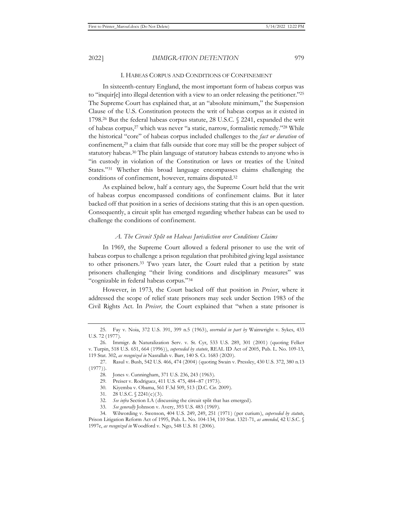#### I. HABEAS CORPUS AND CONDITIONS OF CONFINEMENT

In sixteenth-century England, the most important form of habeas corpus was to "inquir[e] into illegal detention with a view to an order releasing the petitioner."25 The Supreme Court has explained that, at an "absolute minimum," the Suspension Clause of the U.S. Constitution protects the writ of habeas corpus as it existed in 1798.<sup>26</sup> But the federal habeas corpus statute, 28 U.S.C. § 2241, expanded the writ of habeas corpus,27 which was never "a static, narrow, formalistic remedy."28 While the historical "core" of habeas corpus included challenges to the *fact or duration* of confinement,29 a claim that falls outside that core may still be the proper subject of statutory habeas.30 The plain language of statutory habeas extends to anyone who is "in custody in violation of the Constitution or laws or treaties of the United States."31 Whether this broad language encompasses claims challenging the conditions of confinement, however, remains disputed.32

As explained below, half a century ago, the Supreme Court held that the writ of habeas corpus encompassed conditions of confinement claims. But it later backed off that position in a series of decisions stating that this is an open question. Consequently, a circuit split has emerged regarding whether habeas can be used to challenge the conditions of confinement.

#### *A. The Circuit Split on Habeas Jurisdiction over Conditions Claims*

In 1969, the Supreme Court allowed a federal prisoner to use the writ of habeas corpus to challenge a prison regulation that prohibited giving legal assistance to other prisoners.33 Two years later, the Court ruled that a petition by state prisoners challenging "their living conditions and disciplinary measures" was "cognizable in federal habeas corpus."34

However, in 1973, the Court backed off that position in *Preiser*, where it addressed the scope of relief state prisoners may seek under Section 1983 of the Civil Rights Act. In *Preiser,* the Court explained that "when a state prisoner is

<sup>25.</sup> Fay v. Noia, 372 U.S. 391, 399 n.5 (1963), *overruled in part by* Wainwright v. Sykes, 433 U.S. 72 (1977).

<sup>26.</sup> Immigr. & Naturalization Serv. v. St. Cyr, 533 U.S. 289, 301 (2001) (quoting Felker v. Turpin, 518 U.S. 651, 664 (1996)), *superseded by statute*, REAL ID Act of 2005, Pub. L. No. 109-13, 119 Stat. 302, *as recognized in* Nasrallah v. Barr, 140 S. Ct. 1683 (2020).

<sup>27.</sup> Rasul v. Bush, 542 U.S. 466, 474 (2004) (quoting Swain v. Pressley, 430 U.S. 372, 380 n.13 (1977)).

<sup>28.</sup> Jones v. Cunningham, 371 U.S. 236, 243 (1963).

<sup>29.</sup> Preiser v. Rodriguez, 411 U.S. 475, 484–87 (1973).

<sup>30.</sup> Kiyemba v. Obama, 561 F.3d 509, 513 (D.C. Cir. 2009).

<sup>31. 28</sup> U.S.C. § 2241(c)(3).

<sup>32.</sup> *See infra* Section I.A (discussing the circuit split that has emerged).

<sup>33.</sup> *See generally* Johnson v. Avery, 393 U.S. 483 (1969).

<sup>34.</sup> Wilwording v. Swenson, 404 U.S. 249, 249, 251 (1971) (per curium), *superseded by statute*, Prison Litigation Reform Act of 1995, Pub. L. No. 104-134, 110 Stat. 1321-71, *as amended*, 42 U.S.C. § 1997e, *as recognized in* Woodford v. Ngo, 548 U.S. 81 (2006).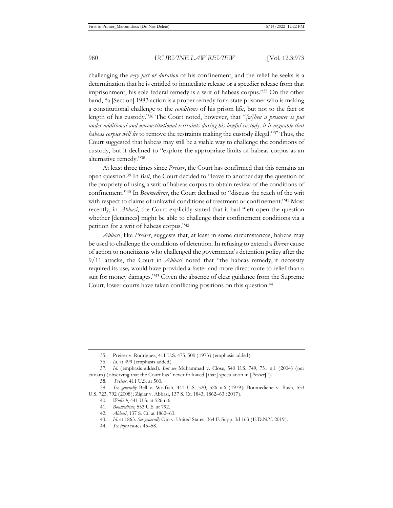challenging the *very fact or duration* of his confinement, and the relief he seeks is a determination that he is entitled to immediate release or a speedier release from that imprisonment, his sole federal remedy is a writ of habeas corpus."35 On the other hand, "a [Section] 1983 action is a proper remedy for a state prisoner who is making a constitutional challenge to the *conditions* of his prison life, but not to the fact or length of his custody."36 The Court noted, however, that "*[w]hen a prisoner is put under additional and unconstitutional restraints during his lawful custody, it is arguable that habeas corpus will lie* to remove the restraints making the custody illegal."37 Thus, the Court suggested that habeas may still be a viable way to challenge the conditions of custody, but it declined to "explore the appropriate limits of habeas corpus as an alternative remedy."38

At least three times since *Preiser*, the Court has confirmed that this remains an open question.39 In *Bell*, the Court decided to "leave to another day the question of the propriety of using a writ of habeas corpus to obtain review of the conditions of confinement."40 In *Boumediene*, the Court declined to "discuss the reach of the writ with respect to claims of unlawful conditions of treatment or confinement."<sup>41</sup> Most recently, in *Abbasi*, the Court explicitly stated that it had "left open the question whether [detainees] might be able to challenge their confinement conditions via a petition for a writ of habeas corpus."42

*Abbasi*, like *Preiser*, suggests that, at least in some circumstances, habeas may be used to challenge the conditions of detention. In refusing to extend a *Bivens* cause of action to noncitizens who challenged the government's detention policy after the 9/11 attacks, the Court in *Abbasi* noted that "the habeas remedy, if necessity required its use*,* would have provided a faster and more direct route to relief than a suit for money damages."43 Given the absence of clear guidance from the Supreme Court, lower courts have taken conflicting positions on this question.44

<sup>35.</sup> Preiser v. Rodriguez, 411 U.S. 475, 500 (1973) (emphasis added).

<sup>36.</sup> *Id.* at 499 (emphasis added).

<sup>37.</sup> *Id.* (emphasis added). *But see* Muhammad v. Close, 540 U.S. 749, 751 n.1 (2004) (per curiam) (observing that the Court has "never followed [that] speculation in [*Preiser*]").

<sup>38.</sup> *Preiser*, 411 U.S. at 500.

<sup>39.</sup> *See generally* Bell v. Wolfish, 441 U.S. 520, 526 n.6 (1979); Boumediene v. Bush, 553 U.S. 723, 792 (2008); Ziglar v. Abbasi, 137 S. Ct. 1843, 1862–63 (2017).

<sup>40.</sup> *Wolfish*, 441 U.S. at 526 n.6.

<sup>41.</sup> *Boumediene*, 553 U.S. at 792.

<sup>42.</sup> *Abbasi*, 137 S. Ct. at 1862–63.

<sup>43.</sup> *Id.* at 1863. *See generally* Ojo v. United States, 364 F. Supp. 3d 163 (E.D.N.Y. 2019).

<sup>44.</sup> *See infra* notes 45–58.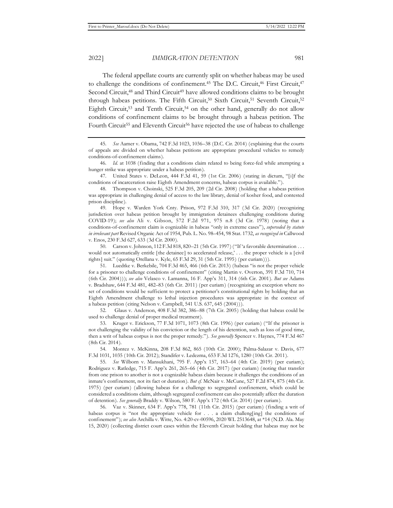The federal appellate courts are currently split on whether habeas may be used to challenge the conditions of confinement.<sup>45</sup> The D.C. Circuit,<sup>46</sup> First Circuit,<sup>47</sup> Second Circuit,<sup>48</sup> and Third Circuit<sup>49</sup> have allowed conditions claims to be brought through habeas petitions. The Fifth Circuit,<sup>50</sup> Sixth Circuit,<sup>51</sup> Seventh Circuit,<sup>52</sup> Eighth Circuit,<sup>53</sup> and Tenth Circuit,<sup>54</sup> on the other hand, generally do not allow conditions of confinement claims to be brought through a habeas petition. The Fourth Circuit<sup>55</sup> and Eleventh Circuit<sup>56</sup> have rejected the use of habeas to challenge

47. United States v. DeLeon, 444 F.3d 41, 59 (1st Cir. 2006) (stating in dictum, "[i]f the conditions of incarceration raise Eighth Amendment concerns, habeas corpus is available.").

49. Hope v. Warden York Cnty. Prison, 972 F.3d 310, 317 (3d Cir. 2020) (recognizing jurisdiction over habeas petition brought by immigration detainees challenging conditions during COVID-19); *see also* Ali v. Gibson, 572 F.2d 971, 975 n.8 (3d Cir. 1978) (noting that a conditions-of-confinement claim is cognizable in habeas "only in extreme cases"), *superseded by statute in irrelevant part* Revised Organic Act of 1954, Pub. L. No. 98–454, 98 Stat. 1732, *as recognized in* Callwood v. Enos, 230 F.3d 627, 633 (3d Cir. 2000).

50. Carson v. Johnson, 112 F.3d 818, 820–21 (5th Cir. 1997) ("If 'a favorable determination . . . would not automatically entitle [the detainee] to accelerated release,' . . . the proper vehicle is a [civil rights] suit." (quoting Orellana v. Kyle, 65 F.3d 29, 31 (5th Cir. 1995) (per curiam))).

51. Luedtke v. Berkebile, 704 F.3d 465, 466 (6th Cir. 2013) (habeas "is not the proper vehicle for a prisoner to challenge conditions of confinement" (citing Martin v. Overton, 391 F.3d 710, 714 (6th Cir. 2004))); *see also* Velasco v. Lamanna, 16 F. App'x 311, 314 (6th Cir. 2001). *But see* Adams v. Bradshaw, 644 F.3d 481, 482–83 (6th Cir. 2011) (per curiam) (recognizing an exception where no set of conditions would be sufficient to protect a petitioner's constitutional rights by holding that an Eighth Amendment challenge to lethal injection procedures was appropriate in the context of a habeas petition (citing Nelson v. Campbell, 541 U.S. 637, 645 (2004))).

52. Glaus v. Anderson, 408 F.3d 382, 386–88 (7th Cir. 2005) (holding that habeas could be used to challenge denial of proper medical treatment).

53. Kruger v. Erickson, 77 F.3d 1071, 1073 (8th Cir. 1996) (per curiam) ("If the prisoner is not challenging the validity of his conviction or the length of his detention, such as loss of good time, then a writ of habeas corpus is not the proper remedy."). *See generally* Spencer v. Haynes, 774 F.3d 467 (8th Cir. 2014).

54. Montez v. McKinna, 208 F.3d 862, 865 (10th Cir. 2000); Palma-Salazar v. Davis, 677 F.3d 1031, 1035 (10th Cir. 2012); Standifer v. Ledezma, 653 F.3d 1276, 1280 (10th Cir. 2011).

55. *See* Wilborn v. Mansukhani, 795 F. App'x 157, 163–64 (4th Cir. 2019) (per curiam); Rodriguez v. Ratledge, 715 F. App'x 261, 265–66 (4th Cir. 2017) (per curiam) (noting that transfer from one prison to another is not a cognizable habeas claim because it challenges the conditions of an inmate's confinement, not its fact or duration). *But cf.* McNair v. McCune, 527 F.2d 874, 875 (4th Cir. 1975) (per curiam) (allowing habeas for a challenge to segregated confinement, which could be considered a conditions claim, although segregated confinement can also potentially affect the duration of detention). *See generally* Braddy v. Wilson, 580 F. App'x 172 (4th Cir. 2014) (per curiam).

56. Vaz v. Skinner, 634 F. App'x 778, 781 (11th Cir. 2015) (per curiam) (finding a writ of habeas corpus is "not the appropriate vehicle for . . . a claim challeng[ing] the conditions of confinement"); *see also* Archilla v. Witte, No. 4:20-cv-00596, 2020 WL 2513648, at \*14 (N.D. Ala. May 15, 2020) (collecting district court cases within the Eleventh Circuit holding that habeas may not be

<sup>45.</sup> *See* Aamer v. Obama, 742 F.3d 1023, 1036–38 (D.C. Cir. 2014) (explaining that the courts of appeals are divided on whether habeas petitions are appropriate procedural vehicles to remedy conditions-of-confinement claims).

<sup>46.</sup> *Id.* at 1038 (finding that a conditions claim related to being force-fed while attempting a hunger strike was appropriate under a habeas petition).

<sup>48.</sup> Thompson v. Choinski, 525 F.3d 205, 209 (2d Cir. 2008) (holding that a habeas petition was appropriate in challenging denial of access to the law library, denial of kosher food, and contested prison discipline).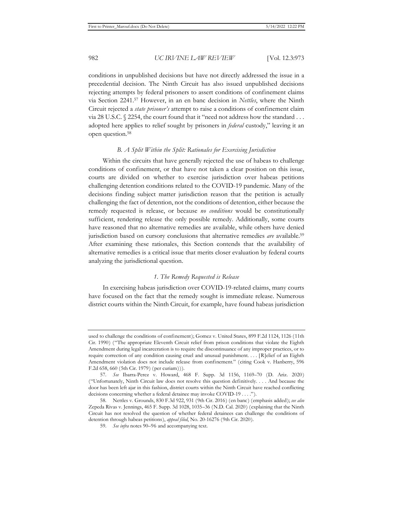conditions in unpublished decisions but have not directly addressed the issue in a precedential decision. The Ninth Circuit has also issued unpublished decisions rejecting attempts by federal prisoners to assert conditions of confinement claims via Section 2241.57 However, in an en banc decision in *Nettles*, where the Ninth Circuit rejected a *state prisoner's* attempt to raise a conditions of confinement claim via 28 U.S.C. § 2254, the court found that it "need not address how the standard . . . adopted here applies to relief sought by prisoners in *federal* custody," leaving it an open question.58

## *B. A Split Within the Split: Rationales for Exercising Jurisdiction*

Within the circuits that have generally rejected the use of habeas to challenge conditions of confinement, or that have not taken a clear position on this issue, courts are divided on whether to exercise jurisdiction over habeas petitions challenging detention conditions related to the COVID-19 pandemic. Many of the decisions finding subject matter jurisdiction reason that the petition is actually challenging the fact of detention, not the conditions of detention, either because the remedy requested is release, or because *no conditions* would be constitutionally sufficient, rendering release the only possible remedy. Additionally, some courts have reasoned that no alternative remedies are available, while others have denied jurisdiction based on cursory conclusions that alternative remedies *are* available.<sup>59</sup> After examining these rationales, this Section contends that the availability of alternative remedies is a critical issue that merits closer evaluation by federal courts analyzing the jurisdictional question.

## *1. The Remedy Requested is Release*

In exercising habeas jurisdiction over COVID-19-related claims, many courts have focused on the fact that the remedy sought is immediate release. Numerous district courts within the Ninth Circuit, for example, have found habeas jurisdiction

used to challenge the conditions of confinement); Gomez v. United States, 899 F.2d 1124, 1126 (11th Cir. 1990) ("The appropriate Eleventh Circuit relief from prison conditions that violate the Eighth Amendment during legal incarceration is to require the discontinuance of any improper practices, or to require correction of any condition causing cruel and unusual punishment. . . . [R]elief of an Eighth Amendment violation does not include release from confinement." (citing Cook v. Hanberry, 596 F.2d 658, 660 (5th Cir. 1979) (per curiam))).

<sup>57.</sup> *See* Ibarra-Perez v. Howard, 468 F. Supp. 3d 1156, 1169–70 (D. Ariz. 2020) ("Unfortunately, Ninth Circuit law does not resolve this question definitively. . . . And because the door has been left ajar in this fashion, district courts within the Ninth Circuit have reached conflicting decisions concerning whether a federal detainee may invoke COVID-19 . . . .").

<sup>58.</sup> Nettles v. Grounds, 830 F.3d 922, 931 (9th Cir. 2016) (en banc) (emphasis added); *see also*  Zepeda Rivas v. Jennings, 465 F. Supp. 3d 1028, 1035–36 (N.D. Cal. 2020) (explaining that the Ninth Circuit has not resolved the question of whether federal detainees can challenge the conditions of detention through habeas petitions), *appeal filed*, No. 20-16276 (9th Cir. 2020).

<sup>59.</sup> *See infra* notes 90–96 and accompanying text.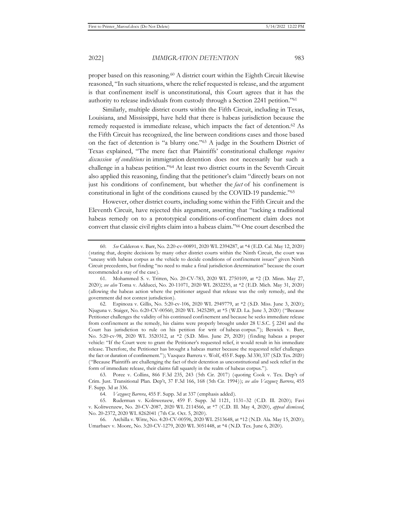proper based on this reasoning.60 A district court within the Eighth Circuit likewise reasoned, "In such situations, where the relief requested is release, and the argument is that confinement itself is unconstitutional, this Court agrees that it has the authority to release individuals from custody through a Section 2241 petition."61

Similarly, multiple district courts within the Fifth Circuit, including in Texas, Louisiana, and Mississippi, have held that there is habeas jurisdiction because the remedy requested is immediate release, which impacts the fact of detention.<sup>62</sup> As the Fifth Circuit has recognized, the line between conditions cases and those based on the fact of detention is "a blurry one."63 A judge in the Southern District of Texas explained, "The mere fact that Plaintiffs' constitutional challenge *requires discussion of conditions* in immigration detention does not necessarily bar such a challenge in a habeas petition."64 At least two district courts in the Seventh Circuit also applied this reasoning, finding that the petitioner's claim "directly bears on not just his conditions of confinement, but whether the *fact* of his confinement is constitutional in light of the conditions caused by the COVID-19 pandemic."65

However, other district courts, including some within the Fifth Circuit and the Eleventh Circuit, have rejected this argument, asserting that "tacking a traditional habeas remedy on to a prototypical conditions-of-confinement claim does not convert that classic civil rights claim into a habeas claim."66 One court described the

64. *Vazquez Barrera*, 455 F. Supp. 3d at 337 (emphasis added).

<sup>60.</sup> *See* Calderon v. Barr, No. 2:20-cv-00891, 2020 WL 2394287, at \*4 (E.D. Cal. May 12, 2020) (stating that, despite decisions by many other district courts within the Ninth Circuit, the court was "uneasy with habeas corpus as the vehicle to decide conditions of confinement issues" given Ninth Circuit precedents, but finding "no need to make a final jurisdiction determination" because the court recommended a stay of the case).

<sup>61.</sup> Mohammed S. v. Tritten, No. 20-CV-783, 2020 WL 2750109, at \*2 (D. Minn. May 27, 2020); *see also* Toma v. Adducci, No. 20-11071, 2020 WL 2832255, at \*2 (E.D. Mich. May 31, 2020) (allowing the habeas action where the petitioner argued that release was the only remedy, and the government did not contest jurisdiction).

<sup>62.</sup> Espinoza v. Gillis, No. 5:20-cv-106, 2020 WL 2949779, at \*2 (S.D. Miss. June 3, 2020); Njuguna v. Staiger, No. 6:20-CV-00560, 2020 WL 3425289, at \*5 (W.D. La. June 3, 2020) ("Because Petitioner challenges the validity of his continued confinement and because he seeks immediate release from confinement as the remedy, his claims were properly brought under 28 U.S.C. § 2241 and the Court has jurisdiction to rule on his petition for writ of habeas corpus."); Beswick v. Barr, No. 5:20-cv-98, 2020 WL 3520312, at \*2 (S.D. Miss. June 29, 2020) (finding habeas a proper vehicle: "If the Court were to grant the Petitioner's requested relief, it would result in his immediate release. Therefore, the Petitioner has brought a habeas matter because the requested relief challenges the fact or duration of confinement."); Vazquez Barrera v. Wolf, 455 F. Supp. 3d 330, 337 (S.D. Tex. 2020) ("Because Plaintiffs are challenging the fact of their detention as unconstitutional and seek relief in the form of immediate release, their claims fall squarely in the realm of habeas corpus.").

<sup>63.</sup> Poree v. Collins, 866 F.3d 235, 243 (5th Cir. 2017) (quoting Cook v. Tex. Dep't of Crim. Just. Transitional Plan. Dep't, 37 F.3d 166, 168 (5th Cir. 1994)); *see also Vazquez Barrera*, 455 F. Supp. 3d at 336.

<sup>65.</sup> Ruderman v. Kolitwenzew, 459 F. Supp. 3d 1121, 1131–32 (C.D. Ill. 2020); Favi v. Kolitwenzew, No. 20-CV-2087, 2020 WL 2114566, at \*7 (C.D. Ill. May 4, 2020), *appeal dismissed*, No. 20-2372, 2020 WL 8262041 (7th Cir. Oct. 5, 2020).

<sup>66.</sup> Archilla v. Witte, No. 4:20-CV-00596, 2020 WL 2513648, at \*12 (N.D. Ala. May 15, 2020); Umarbaev v. Moore, No. 3:20-CV-1279, 2020 WL 3051448, at \*4 (N.D. Tex. June 6, 2020).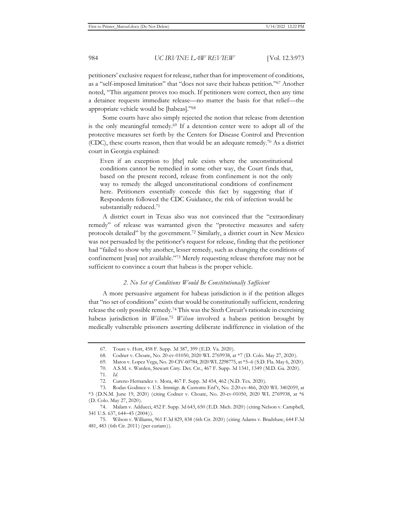petitioners' exclusive request for release, rather than for improvement of conditions, as a "self-imposed limitation" that "does not save their habeas petition."67 Another noted, "This argument proves too much. If petitioners were correct, then any time a detainee requests immediate release—no matter the basis for that relief—the appropriate vehicle would be [habeas]."68

Some courts have also simply rejected the notion that release from detention is the only meaningful remedy.69 If a detention center were to adopt all of the protective measures set forth by the Centers for Disease Control and Prevention (CDC), these courts reason, then that would be an adequate remedy.70 As a district court in Georgia explained:

Even if an exception to [the] rule exists where the unconstitutional conditions cannot be remedied in some other way, the Court finds that, based on the present record, release from confinement is not the only way to remedy the alleged unconstitutional conditions of confinement here. Petitioners essentially concede this fact by suggesting that if Respondents followed the CDC Guidance, the risk of infection would be substantially reduced.71

A district court in Texas also was not convinced that the "extraordinary remedy" of release was warranted given the "protective measures and safety protocols detailed" by the government.72 Similarly, a district court in New Mexico was not persuaded by the petitioner's request for release, finding that the petitioner had "failed to show why another, lesser remedy, such as changing the conditions of confinement [was] not available."73 Merely requesting release therefore may not be sufficient to convince a court that habeas is the proper vehicle.

## *2. No Set of Conditions Would Be Constitutionally Sufficient*

A more persuasive argument for habeas jurisdiction is if the petition alleges that "no set of conditions" exists that would be constitutionally sufficient, rendering release the only possible remedy.74 This was the Sixth Circuit's rationale in exercising habeas jurisdiction in *Wilson*. <sup>75</sup> *Wilson* involved a habeas petition brought by medically vulnerable prisoners asserting deliberate indifference in violation of the

<sup>67.</sup> Toure v. Hott, 458 F. Supp. 3d 387, 399 (E.D. Va. 2020).

<sup>68.</sup> Codner v. Choate, No. 20-cv-01050, 2020 WL 2769938, at \*7 (D. Colo. May 27, 2020).

<sup>69.</sup> Matos v. Lopez Vega, No. 20-CIV-60784, 2020 WL 2298775, at \*5–6 (S.D. Fla. May 6, 2020).

<sup>70.</sup> A.S.M. v. Warden, Stewart Cnty. Det. Ctr., 467 F. Supp. 3d 1341, 1349 (M.D. Ga. 2020).

<sup>71.</sup> *Id.*

<sup>72.</sup> Cureno Hernandez v. Mora, 467 F. Supp. 3d 454, 462 (N.D. Tex. 2020).

<sup>73.</sup> Rodas Godinez v. U.S. Immigr. & Customs Enf't, No. 2:20-cv-466, 2020 WL 3402059, at \*3 (D.N.M. June 19, 2020) (citing Codner v. Choate, No. 20-cv-01050, 2020 WL 2769938, at \*6 (D. Colo. May 27, 2020).

<sup>74.</sup> Malam v. Adducci, 452 F. Supp. 3d 643, 650 (E.D. Mich. 2020) (citing Nelson v. Campbell, 541 U.S. 637, 644−45 (2004)).

<sup>75.</sup> Wilson v. Williams, 961 F.3d 829, 838 (6th Cir. 2020) (citing Adams v. Bradshaw, 644 F.3d 481, 483 (6th Cir. 2011) (per curiam)).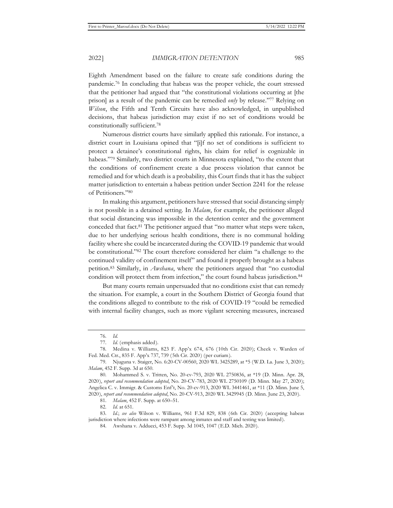Eighth Amendment based on the failure to create safe conditions during the pandemic.76 In concluding that habeas was the proper vehicle, the court stressed that the petitioner had argued that "the constitutional violations occurring at [the prison] as a result of the pandemic can be remedied *only* by release."77 Relying on *Wilson*, the Fifth and Tenth Circuits have also acknowledged, in unpublished decisions, that habeas jurisdiction may exist if no set of conditions would be constitutionally sufficient.78

Numerous district courts have similarly applied this rationale. For instance, a district court in Louisiana opined that "[i]f no set of conditions is sufficient to protect a detainee's constitutional rights, his claim for relief is cognizable in habeas."79 Similarly, two district courts in Minnesota explained, "to the extent that the conditions of confinement create a due process violation that cannot be remedied and for which death is a probability, this Court finds that it has the subject matter jurisdiction to entertain a habeas petition under Section 2241 for the release of Petitioners."80

In making this argument, petitioners have stressed that social distancing simply is not possible in a detained setting. In *Malam*, for example, the petitioner alleged that social distancing was impossible in the detention center and the government conceded that fact.81 The petitioner argued that "no matter what steps were taken, due to her underlying serious health conditions, there is no communal holding facility where she could be incarcerated during the COVID-19 pandemic that would be constitutional."82 The court therefore considered her claim "a challenge to the continued validity of confinement itself" and found it properly brought as a habeas petition.83 Similarly, in *Awshana*, where the petitioners argued that "no custodial condition will protect them from infection," the court found habeas jurisdiction.84

But many courts remain unpersuaded that no conditions exist that can remedy the situation. For example, a court in the Southern District of Georgia found that the conditions alleged to contribute to the risk of COVID-19 "could be remedied with internal facility changes, such as more vigilant screening measures, increased

<sup>76.</sup> *Id.* 

<sup>77.</sup> *Id.* (emphasis added).

<sup>78.</sup> Medina v. Williams, 823 F. App'x 674, 676 (10th Cir. 2020); Cheek v. Warden of Fed. Med. Ctr., 835 F. App'x 737, 739 (5th Cir. 2020) (per curiam).

<sup>79.</sup> Njuguna v. Staiger, No. 6:20-CV-00560, 2020 WL 3425289, at \*5 (W.D. La. June 3, 2020); *Malam*, 452 F. Supp. 3d at 650.

<sup>80.</sup> Mohammed S. v. Tritten, No. 20-cv-793, 2020 WL 2750836, at \*19 (D. Minn. Apr. 28, 2020), *report and recommendation adopted*, No. 20-CV-783, 2020 WL 2750109 (D. Minn. May 27, 2020); Angelica C. v. Immigr. & Customs Enf't, No. 20-cv-913, 2020 WL 3441461, at \*11 (D. Minn. June 5, 2020), *report and recommendation adopted*, No. 20-CV-913, 2020 WL 3429945 (D. Minn. June 23, 2020).

<sup>81.</sup> *Malam*, 452 F. Supp. at 650–51.

<sup>82.</sup> *Id.* at 651.

<sup>83.</sup> *Id.*; *see also* Wilson v. Williams, 961 F.3d 829, 838 (6th Cir. 2020) (accepting habeas jurisdiction where infections were rampant among inmates and staff and testing was limited).

<sup>84.</sup> Awshana v. Adducci, 453 F. Supp. 3d 1045, 1047 (E.D. Mich. 2020).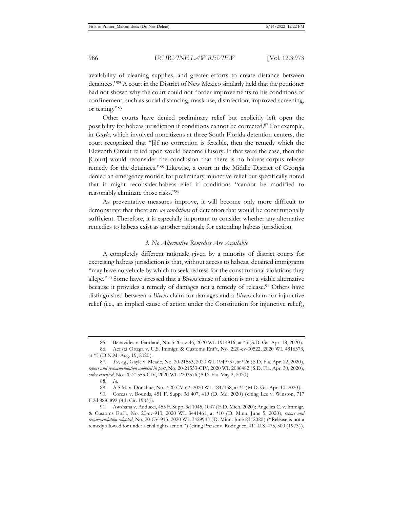availability of cleaning supplies, and greater efforts to create distance between detainees."85 A court in the District of New Mexico similarly held that the petitioner had not shown why the court could not "order improvements to his conditions of confinement, such as social distancing, mask use, disinfection, improved screening, or testing."86

Other courts have denied preliminary relief but explicitly left open the possibility for habeas jurisdiction if conditions cannot be corrected.87 For example, in *Gayle*, which involved noncitizens at three South Florida detention centers, the court recognized that "[i]f no correction is feasible, then the remedy which the Eleventh Circuit relied upon would become illusory. If that were the case, then the [Court] would reconsider the conclusion that there is no habeas corpus release remedy for the detainees."88 Likewise, a court in the Middle District of Georgia denied an emergency motion for preliminary injunctive relief but specifically noted that it might reconsider habeas relief if conditions "cannot be modified to reasonably eliminate those risks."89

As preventative measures improve, it will become only more difficult to demonstrate that there are *no conditions* of detention that would be constitutionally sufficient. Therefore, it is especially important to consider whether any alternative remedies to habeas exist as another rationale for extending habeas jurisdiction.

#### *3. No Alternative Remedies Are Available*

A completely different rationale given by a minority of district courts for exercising habeas jurisdiction is that, without access to habeas, detained immigrants "may have no vehicle by which to seek redress for the constitutional violations they allege."90 Some have stressed that a *Bivens* cause of action is not a viable alternative because it provides a remedy of damages not a remedy of release.<sup>91</sup> Others have distinguished between a *Bivens* claim for damages and a *Bivens* claim for injunctive relief (i.e., an implied cause of action under the Constitution for injunctive relief),

<sup>85.</sup> Benavides v. Gartland, No. 5:20-cv-46, 2020 WL 1914916, at \*5 (S.D. Ga. Apr. 18, 2020).

<sup>86.</sup> Acosta Ortega v. U.S. Immigr. & Customs Enf't, No. 2:20-cv-00522, 2020 WL 4816373, at \*5 (D.N.M. Aug. 19, 2020).

<sup>87.</sup> *See, e.g.*, Gayle v. Meade, No. 20-21553, 2020 WL 1949737, at \*26 (S.D. Fla. Apr. 22, 2020), *report and recommendation adopted in part*, No. 20-21553-CIV, 2020 WL 2086482 (S.D. Fla. Apr. 30, 2020), *order clarified*, No. 20-21553-CIV, 2020 WL 2203576 (S.D. Fla. May 2, 2020).

<sup>88.</sup> *Id.*

<sup>89.</sup> A.S.M. v. Donahue, No. 7:20-CV-62, 2020 WL 1847158, at \*1 (M.D. Ga. Apr. 10, 2020).

<sup>90.</sup> Coreas v. Bounds, 451 F. Supp. 3d 407, 419 (D. Md. 2020) (citing Lee v. Winston, 717 F.2d 888, 892 (4th Cir. 1983)).

<sup>91.</sup> Awshana v. Adducci, 453 F. Supp. 3d 1045, 1047 (E.D. Mich. 2020); Angelica C. v. Immigr. & Customs Enf't, No. 20-cv-913, 2020 WL 3441461, at \*10 (D. Minn. June 5, 2020), *report and recommendation adopted*, No. 20-CV-913, 2020 WL 3429945 (D. Minn. June 23, 2020) ("Release is not a remedy allowed for under a civil rights action.") (citing Preiser v. Rodriguez, 411 U.S. 475, 500 (1973)).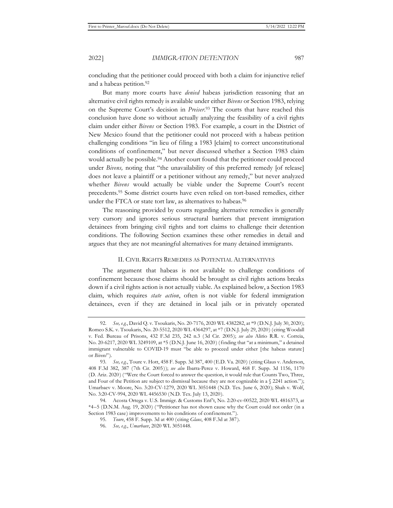and a habeas petition.<sup>92</sup>

But many more courts have *denied* habeas jurisdiction reasoning that an alternative civil rights remedy is available under either *Bivens* or Section 1983, relying on the Supreme Court's decision in *Preiser*. 93 The courts that have reached this conclusion have done so without actually analyzing the feasibility of a civil rights claim under either *Bivens* or Section 1983. For example, a court in the District of New Mexico found that the petitioner could not proceed with a habeas petition challenging conditions "in lieu of filing a 1983 [claim] to correct unconstitutional conditions of confinement," but never discussed whether a Section 1983 claim would actually be possible.<sup>94</sup> Another court found that the petitioner could proceed under *Bivens,* noting that "the unavailability of this preferred remedy [of release] does not leave a plaintiff or a petitioner without any remedy," but never analyzed whether *Bivens* would actually be viable under the Supreme Court's recent precedents.95 Some district courts have even relied on tort-based remedies, either under the FTCA or state tort law, as alternatives to habeas.<sup>96</sup>

The reasoning provided by courts regarding alternative remedies is generally very cursory and ignores serious structural barriers that prevent immigration detainees from bringing civil rights and tort claims to challenge their detention conditions. The following Section examines these other remedies in detail and argues that they are not meaningful alternatives for many detained immigrants.

#### II. CIVIL RIGHTS REMEDIES AS POTENTIAL ALTERNATIVES

The argument that habeas is not available to challenge conditions of confinement because those claims should be brought as civil rights actions breaks down if a civil rights action is not actually viable. As explained below, a Section 1983 claim, which requires *state action*, often is not viable for federal immigration detainees, even if they are detained in local jails or in privately operated

<sup>92.</sup> *See, e.g.*, David Q. v. Tsoukaris, No. 20-7176, 2020 WL 4382282, at \*9 (D.N.J. July 30, 2020); Romeo S.K. v. Tsoukaris, No. 20-5512, 2020 WL 4364297, at \*7 (D.N.J. July 29, 2020) (citing Woodall v. Fed. Bureau of Prisons, 432 F.3d 235, 242 n.3 (3d Cir. 2005); *see also* Alirio R.R. v. Correia, No. 20-6217, 2020 WL 3249109, at \*5 (D.N.J. June 16, 2020) (finding that "at a minimum," a detained immigrant vulnerable to COVID-19 must "be able to proceed under either [the habeas statute] or *Bivens*").

<sup>93.</sup> *See, e.g.*, Toure v. Hott, 458 F. Supp. 3d 387, 400 (E.D. Va. 2020) (citing Glaus v. Anderson, 408 F.3d 382, 387 (7th Cir. 2005)); *see also* Ibarra-Perez v. Howard, 468 F. Supp. 3d 1156, 1170 (D. Ariz. 2020) ("Were the Court forced to answer the question, it would rule that Counts Two, Three, and Four of the Petition are subject to dismissal because they are not cognizable in a  $\frac{8}{2241}$  action."); Umarbaev v. Moore, No. 3:20-CV-1279, 2020 WL 3051448 (N.D. Tex. June 6, 2020); Shah v. Wolf, No. 3:20-CV-994, 2020 WL 4456530 (N.D. Tex. July 13, 2020).

<sup>94.</sup> Acosta Ortega v. U.S. Immigr. & Customs Enf't, No. 2:20-cv-00522, 2020 WL 4816373, at \*4–5 (D.N.M. Aug. 19, 2020) ("Petitioner has not shown cause why the Court could not order (in a Section 1983 case) improvements to his conditions of confinement.").

<sup>95.</sup> *Toure*, 458 F. Supp. 3d at 400 (citing *Glaus*, 408 F.3d at 387).

<sup>96.</sup> *See, e.g.*, *Umarbaev*, 2020 WL 3051448.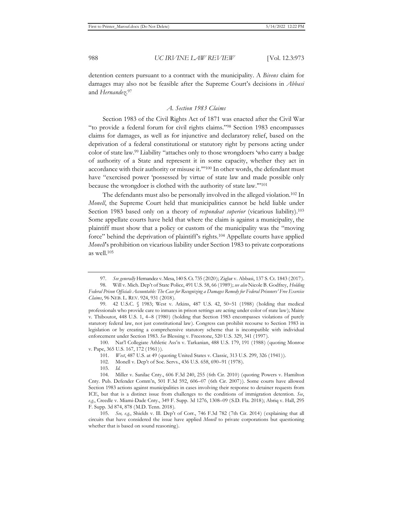detention centers pursuant to a contract with the municipality. A *Bivens* claim for damages may also not be feasible after the Supreme Court's decisions in *Abbasi*  and *Hernandez*. 97

#### *A. Section 1983 Claims*

Section 1983 of the Civil Rights Act of 1871 was enacted after the Civil War "to provide a federal forum for civil rights claims."98 Section 1983 encompasses claims for damages, as well as for injunctive and declaratory relief, based on the deprivation of a federal constitutional or statutory right by persons acting under color of state law.99 Liability "attaches only to those wrongdoers 'who carry a badge of authority of a State and represent it in some capacity, whether they act in accordance with their authority or misuse it.'"100 In other words, the defendant must have "exercised power 'possessed by virtue of state law and made possible only because the wrongdoer is clothed with the authority of state law.'"101

The defendants must also be personally involved in the alleged violation.102 In *Monell*, the Supreme Court held that municipalities cannot be held liable under Section 1983 based only on a theory of *respondeat superior* (vicarious liability).103 Some appellate courts have held that where the claim is against a municipality, the plaintiff must show that a policy or custom of the municipality was the "moving force" behind the deprivation of plaintiff's rights.104 Appellate courts have applied *Monell*'s prohibition on vicarious liability under Section 1983 to private corporations as well.105

100. Nat'l Collegiate Athletic Ass'n v. Tarkanian, 488 U.S. 179, 191 (1988) (quoting Monroe v. Pape, 365 U.S. 167, 172 (1961)).

101. *West*, 487 U.S. at 49 (quoting United States v. Classic, 313 U.S. 299, 326 (1941)).

102. Monell v. Dep't of Soc. Servs., 436 U.S. 658, 690–91 (1978).

103. *Id.*

<sup>97.</sup> *See generally* Hernandez v. Mesa, 140 S. Ct. 735 (2020); Ziglar v. Abbasi, 137 S. Ct. 1843 (2017).

<sup>98.</sup> Will v. Mich. Dep't of State Police, 491 U.S. 58, 66 (1989); *see also* Nicole B. Godfrey, *Holding Federal Prison Officials Accountable: The Case for Recognizing a Damages Remedy for Federal Prisoners' Free Exercise Claims*, 96 NEB. L. REV. 924, 931 (2018).

<sup>99. 42</sup> U.S.C. § 1983; West v. Atkins, 487 U.S. 42, 50−51 (1988) (holding that medical professionals who provide care to inmates in prison settings are acting under color of state law); Maine v. Thiboutot, 448 U.S. 1, 4–8 (1980) (holding that Section 1983 encompasses violations of purely statutory federal law, not just constitutional law). Congress can prohibit recourse to Section 1983 in legislation or by creating a comprehensive statutory scheme that is incompatible with individual enforcement under Section 1983. *See* Blessing v. Freestone, 520 U.S. 329, 341 (1997).

<sup>104.</sup> Miller v. Sanilac Cnty., 606 F.3d 240, 255 (6th Cir. 2010) (quoting Powers v. Hamilton Cnty. Pub. Defender Comm'n, 501 F.3d 592, 606–07 (6th Cir. 2007)). Some courts have allowed Section 1983 actions against municipalities in cases involving their response to detainer requests from ICE, but that is a distinct issue from challenges to the conditions of immigration detention. *See*, *e.g.*, Creedle v. Miami-Dade Cnty., 349 F. Supp. 3d 1276, 1308–09 (S.D. Fla. 2018); Abriq v. Hall, 295 F. Supp. 3d 874, 878 (M.D. Tenn. 2018).

<sup>105.</sup> *See, e.g.*, Shields v. Ill. Dep't of Corr., 746 F.3d 782 (7th Cir. 2014) (explaining that all circuits that have considered the issue have applied *Monell* to private corporations but questioning whether that is based on sound reasoning).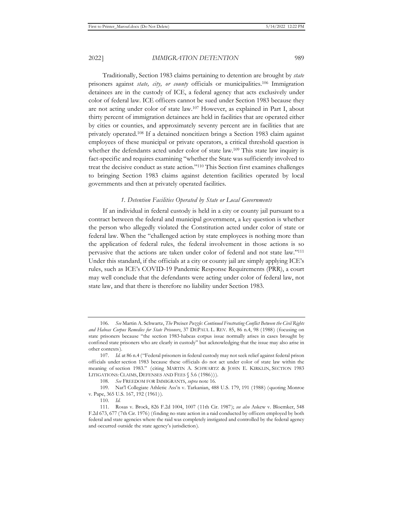Traditionally, Section 1983 claims pertaining to detention are brought by *state* prisoners against *state, city, or county* officials or municipalities.106 Immigration detainees are in the custody of ICE, a federal agency that acts exclusively under color of federal law. ICE officers cannot be sued under Section 1983 because they are not acting under color of state law.107 However, as explained in Part I, about thirty percent of immigration detainees are held in facilities that are operated either by cities or counties, and approximately seventy percent are in facilities that are privately operated.108 If a detained noncitizen brings a Section 1983 claim against employees of these municipal or private operators, a critical threshold question is whether the defendants acted under color of state law.<sup>109</sup> This state law inquiry is fact-specific and requires examining "whether the State was sufficiently involved to treat the decisive conduct as state action."110 This Section first examines challenges to bringing Section 1983 claims against detention facilities operated by local governments and then at privately operated facilities.

#### *1. Detention Facilities Operated by State or Local Governments*

If an individual in federal custody is held in a city or county jail pursuant to a contract between the federal and municipal government, a key question is whether the person who allegedly violated the Constitution acted under color of state or federal law. When the "challenged action by state employees is nothing more than the application of federal rules, the federal involvement in those actions is so pervasive that the actions are taken under color of federal and not state law."111 Under this standard, if the officials at a city or county jail are simply applying ICE's rules, such as ICE's COVID-19 Pandemic Response Requirements (PRR), a court may well conclude that the defendants were acting under color of federal law, not state law, and that there is therefore no liability under Section 1983.

<sup>106.</sup> *See* Martin A. Schwartz, *The* Preiser *Puzzle: Continued Frustrating Conflict Between the Civil Rights and Habeas Corpus Remedies for State Prisoners*, 37 DEPAUL L. REV. 85, 86 n.4, 98 (1988) (focusing on state prisoners because "the section 1983-habeas corpus issue normally arises in cases brought by confined state prisoners who are clearly in custody" but acknowledging that the issue may also arise in other contexts).

<sup>107.</sup> *Id.* at 86 n.4 ("Federal prisoners in federal custody may not seek relief against federal prison officials under section 1983 because these officials do not act under color of state law within the meaning of section 1983." (citing MARTIN A. SCHWARTZ & JOHN E. KIRKLIN, SECTION 1983 LITIGATIONS: CLAIMS, DEFENSES AND FEES  $$5.6 (1986))$ .

<sup>108.</sup> *See* FREEDOM FOR IMMIGRANTS, *supra* note 16.

<sup>109.</sup> Nat'l Collegiate Athletic Ass'n v. Tarkanian, 488 U.S. 179, 191 (1988) (quoting Monroe v. Pape, 365 U.S. 167, 192 (1961)).

<sup>110.</sup> *Id.*

<sup>111.</sup> Rosas v. Brock, 826 F.2d 1004, 1007 (11th Cir. 1987); *see also* Askew v. Bloemker, 548 F.2d 673, 677 (7th Cir. 1976) (finding no state action in a raid conducted by officers employed by both federal and state agencies where the raid was completely instigated and controlled by the federal agency and occurred outside the state agency's jurisdiction).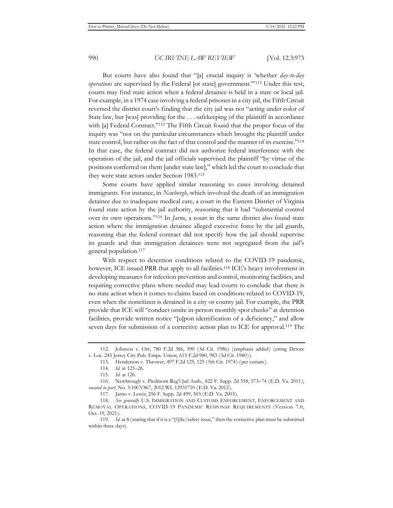But courts have also found that "[a] crucial inquiry is 'whether *day-to-day operations* are supervised by the Federal [or state] government.'"112 Under this test, courts may find state action when a federal detainee is held in a state or local jail. For example, in a 1974 case involving a federal prisoner in a city jail, the Fifth Circuit reversed the district court's finding that the city jail was not "acting under color of State law, but [was] providing for the . . . safekeeping of the plaintiff in accordance with [a] Federal Contract."<sup>113</sup> The Fifth Circuit found that the proper focus of the inquiry was "not on the particular circumstances which brought the plaintiff under state control, but rather on the fact of that control and the manner of its exercise."114 In that case, the federal contract did not authorize federal interference with the operation of the jail, and the jail officials supervised the plaintiff "by virtue of the positions conferred on them [under state law]," which led the court to conclude that they were state actors under Section 1983.115

Some courts have applied similar reasoning to cases involving detained immigrants. For instance, in *Newborgh*, which involved the death of an immigration detainee due to inadequate medical care, a court in the Eastern District of Virginia found state action by the jail authority, reasoning that it had "substantial control over its own operations."116 In *Jarno*, a court in the same district also found state action where the immigration detainee alleged excessive force by the jail guards, reasoning that the federal contract did not specify how the jail should supervise its guards and that immigration detainees were not segregated from the jail's general population.117

With respect to detention conditions related to the COVID-19 pandemic, however, ICE issued PRR that apply to all facilities.<sup>118</sup> ICE's heavy involvement in developing measures for infection prevention and control, monitoring facilities, and requiring corrective plans where needed may lead courts to conclude that there is no state action when it comes to claims based on conditions related to COVID-19, even when the noncitizen is detained in a city or county jail. For example, the PRR provide that ICE will "conduct onsite in-person monthly spot checks" at detention facilities, provide written notice "[u]pon identification of a deficiency," and allow seven days for submission of a corrective action plan to ICE for approval.<sup>119</sup> The

<sup>112.</sup> Johnson v. Orr, 780 F.2d 386, 390 (3d Cir. 1986) (emphasis added) (citing Detore v. Loc. 245 Jersey City Pub. Emps. Union, 615 F.2d 980, 983 (3d Cir. 1980)).

<sup>113.</sup> Henderson v. Thrower, 497 F.2d 125, 125 (5th Cir. 1974) (per curiam).

<sup>114.</sup> *Id.* at 125–26.

<sup>115.</sup> *Id.* at 126.

<sup>116.</sup> Newbrough v. Piedmont Reg'l Jail Auth., 822 F. Supp. 2d 558, 573–74 (E.D. Va. 2011), *vacated in part*, No. 3:10CV867, 2012 WL 12931710 (E.D. Va. 2012).

<sup>117.</sup> Jarno v. Lewis, 256 F. Supp. 2d 499, 503 (E.D. Va. 2003).

<sup>118.</sup> *See generally* U.S. IMMIGRATION AND CUSTOMS ENFORCEMENT, ENFORCEMENT AND REMOVAL OPERATIONS, COVID-19 PANDEMIC RESPONSE REQUIREMENTS (Version 7.0, Oct. 19, 2021).

<sup>119.</sup> *Id.* at 8 (stating that if it is a "[l]ife/safety issue," then the corrective plan must be submitted within three days).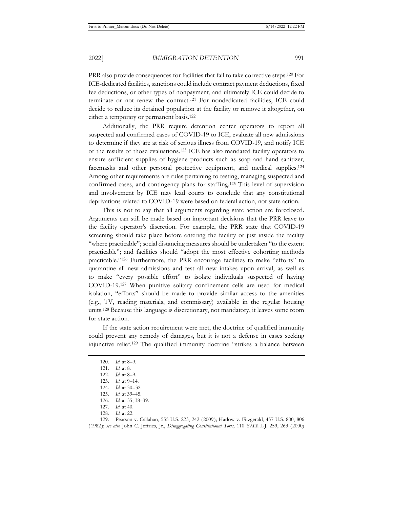PRR also provide consequences for facilities that fail to take corrective steps.120 For ICE-dedicated facilities, sanctions could include contract payment deductions, fixed fee deductions, or other types of nonpayment, and ultimately ICE could decide to terminate or not renew the contract.121 For nondedicated facilities, ICE could decide to reduce its detained population at the facility or remove it altogether, on either a temporary or permanent basis.<sup>122</sup>

Additionally, the PRR require detention center operators to report all suspected and confirmed cases of COVID-19 to ICE, evaluate all new admissions to determine if they are at risk of serious illness from COVID-19, and notify ICE of the results of those evaluations.123 ICE has also mandated facility operators to ensure sufficient supplies of hygiene products such as soap and hand sanitizer, facemasks and other personal protective equipment, and medical supplies.124 Among other requirements are rules pertaining to testing, managing suspected and confirmed cases, and contingency plans for staffing.125 This level of supervision and involvement by ICE may lead courts to conclude that any constitutional deprivations related to COVID-19 were based on federal action, not state action.

This is not to say that all arguments regarding state action are foreclosed. Arguments can still be made based on important decisions that the PRR leave to the facility operator's discretion. For example, the PRR state that COVID-19 screening should take place before entering the facility or just inside the facility "where practicable"; social distancing measures should be undertaken "to the extent practicable"; and facilities should "adopt the most effective cohorting methods practicable."126 Furthermore, the PRR encourage facilities to make "efforts" to quarantine all new admissions and test all new intakes upon arrival, as well as to make "every possible effort" to isolate individuals suspected of having COVID-19.127 When punitive solitary confinement cells are used for medical isolation, "efforts" should be made to provide similar access to the amenities (e.g., TV, reading materials, and commissary) available in the regular housing units.128 Because this language is discretionary, not mandatory, it leaves some room for state action.

If the state action requirement were met, the doctrine of qualified immunity could prevent any remedy of damages, but it is not a defense in cases seeking injunctive relief.129 The qualified immunity doctrine "strikes a balance between

<sup>120.</sup> *Id.* at 8–9.

<sup>121.</sup> *Id.* at 8.

<sup>122.</sup> *Id.* at 8–9.

<sup>123.</sup> *Id.* at 9–14.

<sup>124.</sup> *Id.* at 30–32.

<sup>125.</sup> *Id.* at 39–45.

<sup>126.</sup> *Id.* at 35, 38–39.

<sup>127.</sup> *Id.* at 40.

<sup>128.</sup> *Id.* at 22.

<sup>129.</sup> Pearson v. Callahan, 555 U.S. 223, 242 (2009); Harlow v. Fitzgerald, 457 U.S. 800, 806 (1982); *see also* John C. Jeffries, Jr., *Disaggregating Constitutional Torts*, 110 YALE L.J. 259, 263 (2000)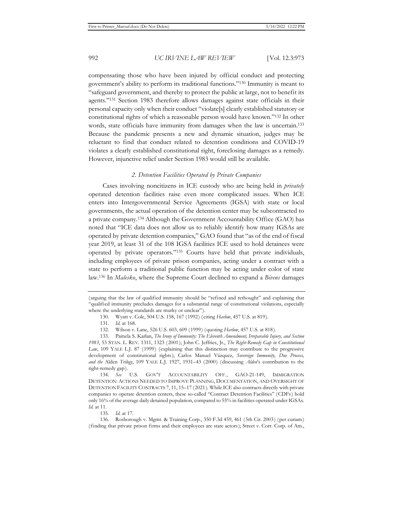compensating those who have been injured by official conduct and protecting government's ability to perform its traditional functions."130 Immunity is meant to "safeguard government, and thereby to protect the public at large, not to benefit its agents."131 Section 1983 therefore allows damages against state officials in their personal capacity only when their conduct "violate[s] clearly established statutory or constitutional rights of which a reasonable person would have known."132 In other words, state officials have immunity from damages when the law is uncertain.<sup>133</sup> Because the pandemic presents a new and dynamic situation, judges may be reluctant to find that conduct related to detention conditions and COVID-19 violates a clearly established constitutional right, foreclosing damages as a remedy. However, injunctive relief under Section 1983 would still be available.

## *2. Detention Facilities Operated by Private Companies*

Cases involving noncitizens in ICE custody who are being held in *privately* operated detention facilities raise even more complicated issues. When ICE enters into Intergovernmental Service Agreements (IGSA) with state or local governments, the actual operation of the detention center may be subcontracted to a private company.134 Although the Government Accountability Office (GAO) has noted that "ICE data does not allow us to reliably identify how many IGSAs are operated by private detention companies," GAO found that "as of the end of fiscal year 2019, at least 31 of the 108 IGSA facilities ICE used to hold detainees were operated by private operators."135 Courts have held that private individuals, including employees of private prison companies, acting under a contract with a state to perform a traditional public function may be acting under color of state law.136 In *Malesko*, where the Supreme Court declined to expand a *Bivens* damages

<sup>(</sup>arguing that the law of qualified immunity should be "refined and rethought" and explaining that "qualified immunity precludes damages for a substantial range of constitutional violations, especially where the underlying standards are murky or unclear").

<sup>130.</sup> Wyatt v. Cole, 504 U.S. 158, 167 (1992) (citing *Harlow*, 457 U.S. at 819).

<sup>131.</sup> *Id.* at 168.

<sup>132.</sup> Wilson v. Lane, 526 U.S. 603, 609 (1999) (quoting *Harlow*, 457 U.S. at 818).

<sup>133.</sup> Pamela S. Karlan, *The Irony of Immunity: The Eleventh Amendment, Irreparable Injury, and Section 1983*, 53 STAN. L. REV. 1311, 1323 (2001); John C. Jeffries, Jr., *The Right-Remedy Gap in Constitutional Law*, 109 YALE L.J. 87 (1999) (explaining that this distinction may contribute to the progressive development of constitutional rights); Carlos Manuel Vázquez, *Sovereign Immunity, Due Process, and the* Alden *Trilogy*, 109 YALE L.J. 1927, 1931–43 (2000) (discussing *Alden*'s contribution to the right-remedy gap).

<sup>134.</sup> *See* U.S. GOV'T ACCOUNTABILITY OFF., GAO-21-149, IMMIGRATION DETENTION: ACTIONS NEEDED TO IMPROVE PLANNING, DOCUMENTATION, AND OVERSIGHT OF DETENTION FACILITY CONTRACTS 7, 11, 15–17 (2021). While ICE also contracts directly with private companies to operate detention centers, these so-called "Contract Detention Facilities" (CDFs) hold only 16% of the average daily detained population, compared to 55% in facilities operated under IGSAs. *Id.* at 11.

<sup>135.</sup> *Id.* at 17.

<sup>136.</sup> Rosborough v. Mgmt. & Training Corp., 350 F.3d 459, 461 (5th Cir. 2003) (per curiam) (finding that private prison firms and their employees are state actors); Street v. Corr. Corp. of Am.,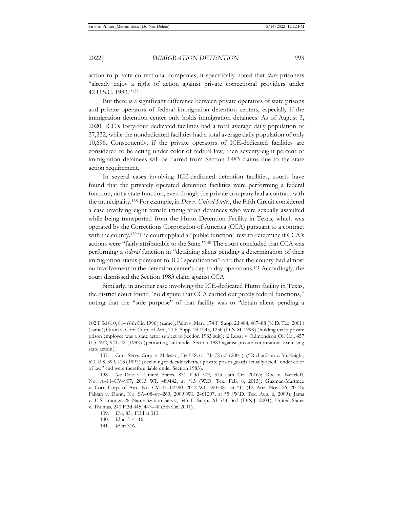action to private correctional companies, it specifically noted that *state* prisoners "already enjoy a right of action against private correctional providers under 42 U.S.C. 1983."137

But there is a significant difference between private operators of state prisons and private operators of federal immigration detention centers, especially if the immigration detention center only holds immigration detainees. As of August 3, 2020, ICE's forty-four dedicated facilities had a total average daily population of 37,332, while the nondedicated facilities had a total average daily population of only 10,696. Consequently, if the private operators of ICE-dedicated facilities are considered to be acting under color of federal law, then seventy-eight percent of immigration detainees will be barred from Section 1983 claims due to the state action requirement.

In several cases involving ICE-dedicated detention facilities, courts have found that the privately operated detention facilities were performing a federal function, not a state function, even though the private company had a contract with the municipality.138 For example, in *Doe v. United States*, the Fifth Circuit considered a case involving eight female immigration detainees who were sexually assaulted while being transported from the Hutto Detention Facility in Texas, which was operated by the Corrections Corporation of America (CCA) pursuant to a contract with the county.139 The court applied a "public function" test to determine if CCA's actions were "fairly attributable to the State."140 The court concluded that CCA was performing a *federal* function in "detaining aliens pending a determination of their immigration status pursuant to ICE specification" and that the county had almost no involvement in the detention center's day-to-day operations.141 Accordingly, the court dismissed the Section 1983 claim against CCA.

Similarly, in another case involving the ICE-dedicated Hutto facility in Texas, the district court found "no dispute that CCA carried out purely federal functions," noting that the "sole purpose" of that facility was to "detain aliens pending a

<sup>102</sup> F.3d 810, 814 (6th Cir. 1996) (same); Palm v. Marr, 174 F. Supp. 2d 484, 487–88 (N.D. Tex. 2001) (same); Giron v. Corr. Corp. of Am., 14 F. Supp. 2d 1245, 1250 (D.N.M. 1998) (holding that a private prison employee was a state actor subject to Section 1983 suit); *cf.* Lugar v. Edmondson Oil Co., 457 U.S. 922, 941–42 (1982) (permitting suit under Section 1983 against private corporations exercising state action).

<sup>137.</sup> Corr. Servs. Corp. v. Malesko, 534 U.S. 61, 71–72 n.5 (2001); *cf.* Richardson v. McKnight, 521 U.S. 399, 413 (1997) (declining to decide whether private prison guards actually acted "under color of law" and were therefore liable under Section 1983).

<sup>138.</sup> *See* Doe v. United States, 831 F.3d 309, 313 (5th Cir. 2016); Doe v. Neveleff, No. A–11–CV–907, 2013 WL 489442, at \*13 (W.D. Tex. Feb. 8, 2013); Guzman-Martinez v. Corr. Corp. of Am., No. CV–11–02390, 2012 WL 5907081, at \*11 (D. Ariz. Nov. 26, 2012); Fabian v. Dunn, No. SA–08–cv–269, 2009 WL 2461207, at \*5 (W.D. Tex. Aug. 6, 2009); Jama v. U.S. Immigr. & Naturalization Servs., 343 F. Supp. 2d 338, 362 (D.N.J. 2004); United States v. Thomas, 240 F.3d 445, 447–48 (5th Cir. 2001).

<sup>139.</sup> *Doe*, 831 F.3d at 313.

<sup>140.</sup> *Id.* at 314–16.

<sup>141.</sup> *Id.* at 316.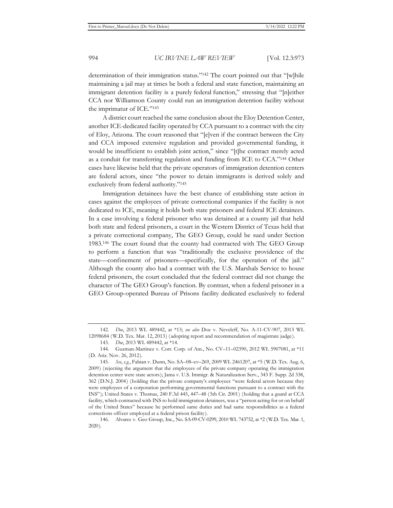determination of their immigration status."142 The court pointed out that "[w]hile maintaining a jail may at times be both a federal and state function, maintaining an immigrant detention facility is a purely federal function," stressing that "[n]either CCA nor Williamson County could run an immigration detention facility without the imprimatur of ICE."143

A district court reached the same conclusion about the Eloy Detention Center, another ICE-dedicated facility operated by CCA pursuant to a contract with the city of Eloy, Arizona. The court reasoned that "[e]ven if the contract between the City and CCA imposed extensive regulation and provided governmental funding, it would be insufficient to establish joint action," since "[t]he contract merely acted as a conduit for transferring regulation and funding from ICE to CCA."144 Other cases have likewise held that the private operators of immigration detention centers are federal actors, since "the power to detain immigrants is derived solely and exclusively from federal authority."145

Immigration detainees have the best chance of establishing state action in cases against the employees of private correctional companies if the facility is not dedicated to ICE, meaning it holds both state prisoners and federal ICE detainees. In a case involving a federal prisoner who was detained at a county jail that held both state and federal prisoners, a court in the Western District of Texas held that a private correctional company, The GEO Group, could be sued under Section 1983.146 The court found that the county had contracted with The GEO Group to perform a function that was "traditionally the exclusive providence of the state—confinement of prisoners—specifically, for the operation of the jail." Although the county also had a contract with the U.S. Marshals Service to house federal prisoners, the court concluded that the federal contract did not change the character of The GEO Group's function. By contrast, when a federal prisoner in a GEO Group-operated Bureau of Prisons facility dedicated exclusively to federal

<sup>142.</sup> *Doe*, 2013 WL 489442, at \*13; *see also* Doe v. Neveleff, No. A-11-CV-907, 2013 WL 12098684 (W.D. Tex. Mar. 12, 2013) (adopting report and recommendation of magistrate judge).

<sup>143.</sup> *Doe*, 2013 WL 489442, at \*14.

<sup>144.</sup> Guzman-Martinez v. Corr. Corp. of Am., No. CV–11–02390, 2012 WL 5907081, at \*11 (D. Ariz. Nov. 26, 2012).

<sup>145.</sup> *See*, *e.g.*, Fabian v. Dunn, No. SA–08–cv–269, 2009 WL 2461207, at \*5 (W.D. Tex. Aug. 6, 2009) (rejecting the argument that the employees of the private company operating the immigration detention center were state actors); Jama v. U.S. Immigr. & Naturalization Serv., 343 F. Supp. 2d 338, 362 (D.N.J. 2004) (holding that the private company's employees "were federal actors because they were employees of a corporation performing governmental functions pursuant to a contract with the INS"); United States v. Thomas, 240 F.3d 445, 447–48 (5th Cir. 2001) (holding that a guard at CCA facility, which contracted with INS to hold immigration detainees, was a "person acting for or on behalf of the United States" because he performed same duties and had same responsibilities as a federal corrections officer employed at a federal prison facility).

<sup>146.</sup> Alvarez v. Geo Group, Inc., No. SA-09-CV-0299, 2010 WL 743752, at \*2 (W.D. Tex. Mar. 1, 2020).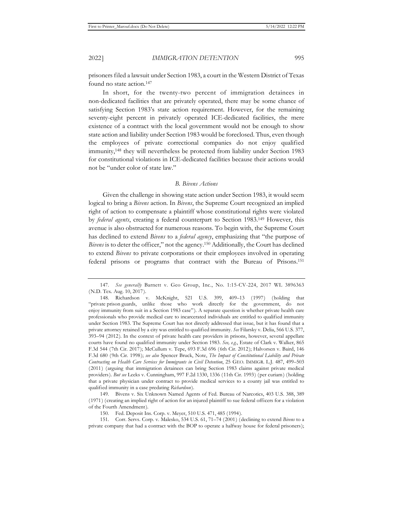prisoners filed a lawsuit under Section 1983, a court in the Western District of Texas found no state action.147

In short, for the twenty-two percent of immigration detainees in non-dedicated facilities that are privately operated, there may be some chance of satisfying Section 1983's state action requirement. However, for the remaining seventy-eight percent in privately operated ICE-dedicated facilities, the mere existence of a contract with the local government would not be enough to show state action and liability under Section 1983 would be foreclosed. Thus, even though the employees of private correctional companies do not enjoy qualified immunity,148 they will nevertheless be protected from liability under Section 1983 for constitutional violations in ICE-dedicated facilities because their actions would not be "under color of state law."

#### *B. Bivens Actions*

Given the challenge in showing state action under Section 1983, it would seem logical to bring a *Bivens* action. In *Bivens*, the Supreme Court recognized an implied right of action to compensate a plaintiff whose constitutional rights were violated by *federal agents*, creating a federal counterpart to Section 1983.149 However, this avenue is also obstructed for numerous reasons. To begin with, the Supreme Court has declined to extend *Bivens* to a *federal agency*, emphasizing that "the purpose of *Bivens* is to deter the officer," not the agency.150 Additionally, the Court has declined to extend *Bivens* to private corporations or their employees involved in operating federal prisons or programs that contract with the Bureau of Prisons.151

<sup>147.</sup> *See generally* Barnett v. Geo Group, Inc., No. 1:15-CV-224, 2017 WL 3896363 (N.D. Tex. Aug. 10, 2017).

<sup>148.</sup> Richardson v. McKnight, 521 U.S. 399, 409–13 (1997) (holding that "private prison guards, unlike those who work directly for the government, do not enjoy immunity from suit in a Section 1983 case"). A separate question is whether private health care professionals who provide medical care to incarcerated individuals are entitled to qualified immunity under Section 1983. The Supreme Court has not directly addressed that issue, but it has found that a private attorney retained by a city was entitled to qualified immunity. *See* Filarsky v. Delia, 566 U.S. 377, 393–94 (2012). In the context of private health care providers in prisons, however, several appellate courts have found no qualified immunity under Section 1983. *See, e.g.*, Estate of Clark v. Walker, 865 F.3d 544 (7th Cir. 2017); McCullum v. Tepe, 693 F.3d 696 (6th Cir. 2012); Halvorsen v. Baird, 146 F.3d 680 (9th Cir. 1998); *see also* Spencer Bruck, Note, *The Impact of Constitutional Liability and Private Contracting on Health Care Services for Immigrants in Civil Detention*, 25 GEO. IMMIGR. L.J. 487, 499–503 (2011) (arguing that immigration detainees can bring Section 1983 claims against private medical providers). *But see* Leeks v. Cunningham, 997 F.2d 1330, 1336 (11th Cir. 1993) (per curiam) (holding that a private physician under contract to provide medical services to a county jail was entitled to qualified immunity in a case predating *Richardson* ).

<sup>149.</sup> Bivens v. Six Unknown Named Agents of Fed. Bureau of Narcotics, 403 U.S. 388, 389 (1971) (creating an implied right of action for an injured plaintiff to sue federal officers for a violation of the Fourth Amendment).

<sup>150.</sup> Fed. Deposit Ins. Corp. v. Meyer, 510 U.S. 471, 485 (1994).

<sup>151.</sup> Corr. Servs. Corp. v. Malesko, 534 U.S. 61, 71–74 (2001) (declining to extend *Bivens* to a private company that had a contract with the BOP to operate a halfway house for federal prisoners);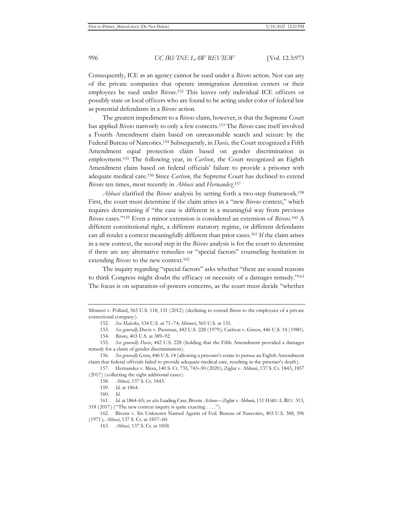Consequently, ICE as an agency cannot be sued under a *Bivens* action. Nor can any of the private companies that operate immigration detention centers or their employees be sued under *Bivens*. 152 This leaves only individual ICE officers or possibly state or local officers who are found to be acting under color of federal law as potential defendants in a *Bivens* action.

The greatest impediment to a *Bivens* claim, however, is that the Supreme Court has applied *Bivens* narrowly to only a few contexts.153 The *Bivens* case itself involved a Fourth Amendment claim based on unreasonable search and seizure by the Federal Bureau of Narcotics.154 Subsequently, in *Davis,* the Court recognized a Fifth Amendment equal protection claim based on gender discrimination in employment.155 The following year, in *Carlson*, the Court recognized an Eighth Amendment claim based on federal officials' failure to provide a prisoner with adequate medical care.156 Since *Carlson*, the Supreme Court has declined to extend *Bivens* ten times, most recently in *Abbasi* and *Hernandez*. 157

*Abbasi* clarified the *Bivens* analysis by setting forth a two-step framework.158 First, the court must determine if the claim arises in a "new *Bivens* context," which requires determining if "the case is different in a meaningful way from previous *Bivens* cases."159 Even a minor extension is considered an extension of *Bivens*. 160 A different constitutional right, a different statutory regime, or different defendants can all render a context meaningfully different than prior cases.161 If the claim arises in a new context, the second step in the *Bivens* analysis is for the court to determine if there are any alternative remedies or "special factors" counseling hesitation in extending *Bivens* to the new context.162

The inquiry regarding "special factors" asks whether "there are sound reasons to think Congress might doubt the efficacy or necessity of a damages remedy."163 The focus is on separation-of-powers concerns, as the court must decide "whether

Minneci v. Pollard, 565 U.S. 118, 131 (2012) (declining to extend *Bivens* to the employees of a private correctional company).

<sup>152.</sup> *See Malesko*, 534 U.S. at 71–74; *Minneci*, 565 U.S. at 131.

<sup>153.</sup> *See generally* Davis v. Passman, 442 U.S. 228 (1979); Carlson v. Green, 446 U.S. 14 (1980).

<sup>154.</sup> *Bivens*, 403 U.S. at 389–92.

<sup>155.</sup> *See generally Davis*, 442 U.S. 228 (holding that the Fifth Amendment provided a damages remedy for a claim of gender discrimination).

<sup>156.</sup> *See generally Green*, 446 U.S. 14 (allowing a prisoner's estate to pursue an Eighth Amendment claim that federal officials failed to provide adequate medical care, resulting in the prisoner's death).

<sup>157.</sup> Hernandez v. Mesa, 140 S. Ct. 735, 743–50 (2020); Ziglar v. Abbasi, 137 S. Ct. 1843, 1857 (2017) (collecting the eight additional cases).

<sup>158.</sup> *Abbasi*, 137 S. Ct. 1843.

<sup>159.</sup> *Id.* at 1864.

<sup>160.</sup> *Id.*

<sup>161.</sup> *Id.* at 1864–65; *see also* Leading Case, Bivens *Actions––*Ziglar v. Abbasi, 131 HARV.L.REV. 313, 318 (2017) ("The new context inquiry is quite exacting . . . .").

<sup>162.</sup> Bivens v. Six Unknown Named Agents of Fed. Bureau of Narcotics, 403 U.S. 388, 396 (1971); *Abbasi*, 137 S. Ct. at 1857–60.

<sup>163.</sup> *Abbasi*, 137 S. Ct. at 1858.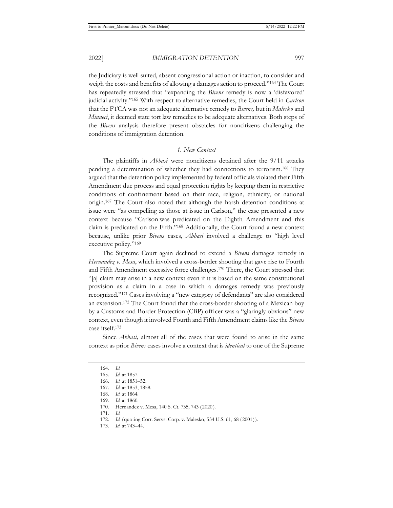the Judiciary is well suited, absent congressional action or inaction, to consider and weigh the costs and benefits of allowing a damages action to proceed."164 The Court has repeatedly stressed that "expanding the *Bivens* remedy is now a 'disfavored' judicial activity."165 With respect to alternative remedies, the Court held in *Carlson*  that the FTCA was not an adequate alternative remedy to *Bivens,* but in *Malesko* and *Minneci*, it deemed state tort law remedies to be adequate alternatives. Both steps of the *Bivens* analysis therefore present obstacles for noncitizens challenging the conditions of immigration detention.

## *1. New Context*

The plaintiffs in *Abbasi* were noncitizens detained after the 9/11 attacks pending a determination of whether they had connections to terrorism.166 They argued that the detention policy implemented by federal officials violated their Fifth Amendment due process and equal protection rights by keeping them in restrictive conditions of confinement based on their race, religion, ethnicity, or national origin.167 The Court also noted that although the harsh detention conditions at issue were "as compelling as those at issue in Carlson," the case presented a new context because "Carlson was predicated on the Eighth Amendment and this claim is predicated on the Fifth."168 Additionally, the Court found a new context because, unlike prior *Bivens* cases, *Abbasi* involved a challenge to "high level executive policy."169

The Supreme Court again declined to extend a *Bivens* damages remedy in *Hernandez v. Mesa*, which involved a cross-border shooting that gave rise to Fourth and Fifth Amendment excessive force challenges.170 There, the Court stressed that "[a] claim may arise in a new context even if it is based on the same constitutional provision as a claim in a case in which a damages remedy was previously recognized."171 Cases involving a "new category of defendants" are also considered an extension.172 The Court found that the cross-border shooting of a Mexican boy by a Customs and Border Protection (CBP) officer was a "glaringly obvious" new context, even though it involved Fourth and Fifth Amendment claims like the *Bivens*  case itself.173

Since *Abbasi,* almost all of the cases that were found to arise in the same context as prior *Bivens* cases involve a context that is *identical* to one of the Supreme

<sup>164.</sup> *Id.*

<sup>165.</sup> *Id.* at 1857.

<sup>166.</sup> *Id.* at 1851–52.

<sup>167.</sup> *Id.* at 1853, 1858.

<sup>168.</sup> *Id.* at 1864.

<sup>169.</sup> *Id.* at 1860.

<sup>170.</sup> Hernandez v. Mesa, 140 S. Ct. 735, 743 (2020).

<sup>171.</sup> *Id.*

<sup>172.</sup> *Id.* (quoting Corr. Servs. Corp. v. Malesko, 534 U.S. 61, 68 (2001)).

<sup>173.</sup> *Id.* at 743–44.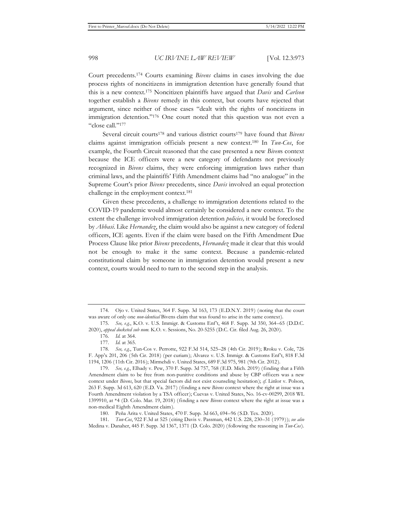Court precedents.174 Courts examining *Bivens* claims in cases involving the due process rights of noncitizens in immigration detention have generally found that this is a new context.175 Noncitizen plaintiffs have argued that *Davis* and *Carlson* together establish a *Bivens* remedy in this context, but courts have rejected that argument, since neither of those cases "dealt with the rights of noncitizens in immigration detention."176 One court noted that this question was not even a "close call."177

Several circuit courts178 and various district courts179 have found that *Bivens* claims against immigration officials present a new context.180 In *Tun-Cos*, for example, the Fourth Circuit reasoned that the case presented a new *Biven*s context because the ICE officers were a new category of defendants not previously recognized in *Bivens* claims, they were enforcing immigration laws rather than criminal laws, and the plaintiffs' Fifth Amendment claims had "no analogue" in the Supreme Court's prior *Bivens* precedents, since *Davis* involved an equal protection challenge in the employment context.181

Given these precedents, a challenge to immigration detentions related to the COVID-19 pandemic would almost certainly be considered a new context. To the extent the challenge involved immigration detention *policies,* it would be foreclosed by *Abbasi*. Like *Hernandez*, the claim would also be against a new category of federal officers, ICE agents. Even if the claim were based on the Fifth Amendment Due Process Clause like prior *Bivens* precedents, *Hernandez* made it clear that this would not be enough to make it the same context. Because a pandemic-related constitutional claim by someone in immigration detention would present a new context, courts would need to turn to the second step in the analysis.

<sup>174.</sup> Ojo v. United States, 364 F. Supp. 3d 163, 173 (E.D.N.Y. 2019) (noting that the court was aware of only one *non-identical* Bivens claim that was found to arise in the same context).

<sup>175.</sup> *See, e.g.*, K.O. v. U.S. Immigr. & Customs Enf't, 468 F. Supp. 3d 350, 364–65 (D.D.C. 2020), *appeal docketed sub nom.* K.O. v. Sessions, No. 20-5255 (D.C. Cir. filed Aug. 26, 2020).

<sup>176.</sup> *Id.* at 364.

<sup>177.</sup> *Id.* at 365.

<sup>178.</sup> *See, e.g.*, Tun-Cos v. Perrotte, 922 F.3d 514, 525–28 (4th Cir. 2019); Rroku v. Cole, 726 F. App'x 201, 206 (5th Cir. 2018) (per curiam); Alvarez v. U.S. Immigr. & Customs Enf't, 818 F.3d 1194, 1206 (11th Cir. 2016); Mirmehdi v. United States, 689 F.3d 975, 981 (9th Cir. 2012).

<sup>179.</sup> *See, e.g.*, Elhady v. Pew, 370 F. Supp. 3d 757, 768 (E.D. Mich. 2019) (finding that a Fifth Amendment claim to be free from non-punitive conditions and abuse by CBP officers was a new context under *Bivens*, but that special factors did not exist counseling hesitation); *cf.* Linlor v. Polson, 263 F. Supp. 3d 613, 620 (E.D. Va. 2017) (finding a new *Bivens* context where the right at issue was a Fourth Amendment violation by a TSA officer); Cuevas v. United States, No. 16-cv-00299, 2018 WL 1399910, at \*4 (D. Colo. Mar. 19, 2018) (finding a new *Bivens* context where the right at issue was a non-medical Eighth Amendment claim).

<sup>180.</sup> Peña Arita v. United States, 470 F. Supp. 3d 663, 694–96 (S.D. Tex. 2020).

<sup>181.</sup> *Tun-Cos*, 922 F.3d at 525 (citing Davis v. Passman, 442 U.S. 228, 230–31 (1979)); *see also*  Medina v. Danaher, 445 F. Supp. 3d 1367, 1371 (D. Colo. 2020) (following the reasoning in *Tun-Cos*).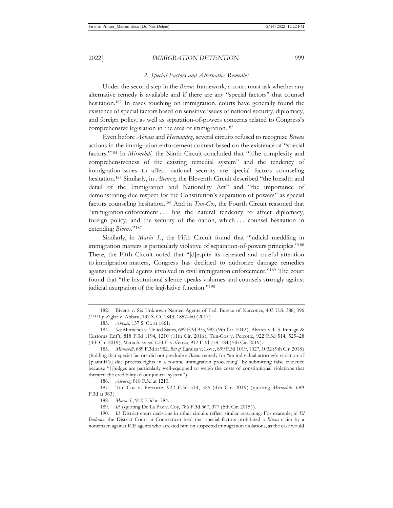#### *2. Special Factors and Alternative Remedies*

Under the second step in the *Bivens* framework, a court must ask whether any alternative remedy is available and if there are any "special factors" that counsel hesitation.182 In cases touching on immigration, courts have generally found the existence of special factors based on sensitive issues of national security, diplomacy, and foreign policy, as well as separation-of-powers concerns related to Congress's comprehensive legislation in the area of immigration.183

Even before *Abbasi* and *Hernandez*, several circuits refused to recognize *Bivens*  actions in the immigration enforcement context based on the existence of "special factors."184 In *Mirmehdi,* the Ninth Circuit concluded that "[t]he complexity and comprehensiveness of the existing remedial system" and the tendency of immigration issues to affect national security are special factors counseling hesitation.185 Similarly, in *Alvarez*, the Eleventh Circuit described "the breadth and detail of the Immigration and Nationality Act" and "the importance of demonstrating due respect for the Constitution's separation of powers" as special factors counseling hesitation.186 And in *Tun-Cos*, the Fourth Circuit reasoned that "immigration enforcement . . . has the natural tendency to affect diplomacy, foreign policy, and the security of the nation, which . . . counsel hesitation in extending *Bivens*."187

Similarly, in *Maria S.*, the Fifth Circuit found that "judicial meddling in immigration matters is particularly violative of separation-of-powers principles."188 There, the Fifth Circuit noted that "[d]espite its repeated and careful attention to immigration matters, Congress has declined to authorize damage remedies against individual agents involved in civil immigration enforcement."189 The court found that "the institutional silence speaks volumes and counsels strongly against judicial usurpation of the legislative function."<sup>190</sup>

186. *Alvarez*, 818 F.3d at 1210.

<sup>182.</sup> Bivens v. Six Unknown Named Agents of Fed. Bureau of Narcotics, 403 U.S. 388, 396 (1971); Ziglar v. Abbasi, 137 S. Ct. 1843, 1857–60 (2017).

<sup>183.</sup> *Abbasi*, 137 S. Ct. at 1861.

<sup>184.</sup> *See* Mirmehdi v. United States, 689 F.3d 975, 982 (9th Cir. 2012); Alvarez v. U.S. Immigr. & Customs Enf't, 818 F.3d 1194, 1210 (11th Cir. 2016); Tun-Cos v. Perrotte, 922 F.3d 514, 525–28 (4th Cir. 2019); Maria S. *ex rel.* E.H.F. v. Garza, 912 F.3d 778, 784 (5th Cir. 2019).

<sup>185.</sup> *Mirmehdi*, 689 F.3d at 982. *But cf.* Lanuza v. Love, 899 F.3d 1019, 1027, 1032 (9th Cir. 2018) (holding that special factors did not preclude a *Bivens* remedy for "an individual attorney's violation of [plaintiff's] due process rights in a routine immigration proceeding" by submitting false evidence because "[j]udges are particularly well-equipped to weigh the costs of constitutional violations that threaten the credibility of our judicial system").

<sup>187.</sup> Tun-Cos v. Perrotte, 922 F.3d 514, 525 (4th Cir. 2019) (quoting *Mirmehdi*, 689 F.3d at 983).

<sup>188.</sup> *Maria S.*, 912 F.3d at 784.

<sup>189.</sup> *Id.* (quoting De La Paz v. Coy, 786 F.3d 367, 377 (5th Cir. 2015)).

<sup>190.</sup> *Id.* District court decisions in other circuits reflect similar reasoning. For example, in *El Badrawi*, the District Court in Connecticut held that special factors prohibited a *Bivens* claim by a noncitizen against ICE agents who arrested him on suspected immigration violations, as the case would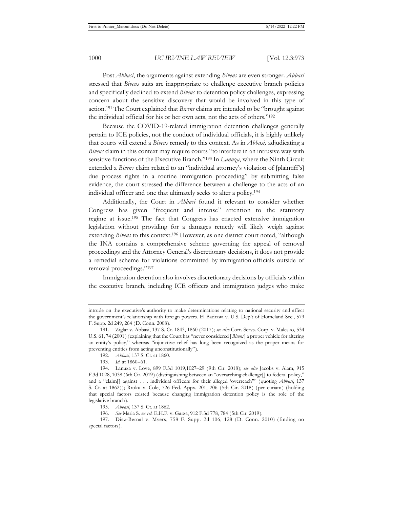Post *Abbasi*, the arguments against extending *Bivens* are even stronger. *Abbasi*  stressed that *Bivens* suits are inappropriate to challenge executive branch policies and specifically declined to extend *Bivens* to detention policy challenges, expressing concern about the sensitive discovery that would be involved in this type of action.191 The Court explained that *Bivens* claims are intended to be "brought against the individual official for his or her own acts, not the acts of others."192

Because the COVID-19-related immigration detention challenges generally pertain to ICE policies, not the conduct of individual officials, it is highly unlikely that courts will extend a *Bivens* remedy to this context. As in *Abbasi,* adjudicating a *Bivens* claim in this context may require courts "to interfere in an intrusive way with sensitive functions of the Executive Branch."193 In *Lanuza*, where the Ninth Circuit extended a *Bivens* claim related to an "individual attorney's violation of [plaintiff's] due process rights in a routine immigration proceeding" by submitting false evidence, the court stressed the difference between a challenge to the acts of an individual officer and one that ultimately seeks to alter a policy.194

Additionally, the Court in *Abbasi* found it relevant to consider whether Congress has given "frequent and intense" attention to the statutory regime at issue.195 The fact that Congress has enacted extensive immigration legislation without providing for a damages remedy will likely weigh against extending *Bivens* to this context.<sup>196</sup> However, as one district court noted, "although the INA contains a comprehensive scheme governing the appeal of removal proceedings and the Attorney General's discretionary decisions, it does not provide a remedial scheme for violations committed by immigration officials outside of removal proceedings."197

Immigration detention also involves discretionary decisions by officials within the executive branch, including ICE officers and immigration judges who make

intrude on the executive's authority to make determinations relating to national security and affect the government's relationship with foreign powers. El Badrawi v. U.S. Dep't of Homeland Sec., 579 F. Supp. 2d 249, 264 (D. Conn. 2008).

<sup>191.</sup> Ziglar v. Abbasi, 137 S. Ct. 1843, 1860 (2017); *see also* Corr. Servs. Corp. v. Malesko, 534 U.S. 61, 74 (2001) (explaining that the Court has "never considered [*Bivens*] a proper vehicle for altering an entity's policy," whereas "injunctive relief has long been recognized as the proper means for preventing entities from acting unconstitutionally").

<sup>192.</sup> *Abbasi*, 137 S. Ct. at 1860.

<sup>193.</sup> *Id.* at 1860–61.

<sup>194.</sup> Lanuza v. Love, 899 F.3d 1019,1027–29 (9th Cir. 2018); *see also* Jacobs v. Alam, 915 F.3d 1028, 1038 (6th Cir. 2019) (distinguishing between an "overarching challenge[] to federal policy," and a "claim[] against . . . individual officers for their alleged 'overreach'" (quoting *Abbasi*, 137 S. Ct. at 1862)); Rroku v. Cole, 726 Fed. Appx. 201, 206 (5th Cir. 2018) (per curiam) (holding that special factors existed because changing immigration detention policy is the role of the legislative branch).

<sup>195.</sup> *Abbasi*, 137 S. Ct. at 1862.

<sup>196.</sup> *See* Maria S. *ex rel.* E.H.F. v. Garza, 912 F.3d 778, 784 (5th Cir. 2019).

<sup>197.</sup> Diaz-Bernal v. Myers, 758 F. Supp. 2d 106, 128 (D. Conn. 2010) (finding no special factors).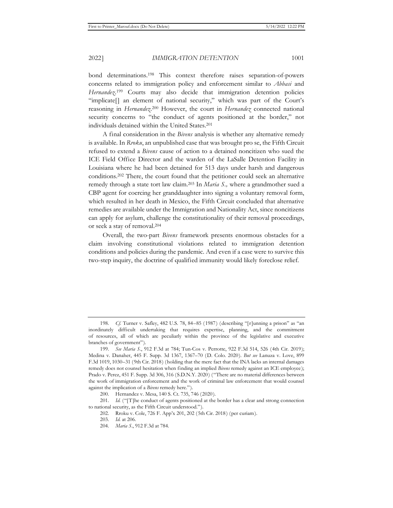bond determinations.198 This context therefore raises separation-of-powers concerns related to immigration policy and enforcement similar to *Abbasi* and Hernandez.<sup>199</sup> Courts may also decide that immigration detention policies "implicate[] an element of national security," which was part of the Court's reasoning in *Hernandez*. 200 However, the court in *Hernandez* connected national security concerns to "the conduct of agents positioned at the border," not individuals detained within the United States.201

A final consideration in the *Bivens* analysis is whether any alternative remedy is available. In *Rroku*, an unpublished case that was brought pro se, the Fifth Circuit refused to extend a *Bivens* cause of action to a detained noncitizen who sued the ICE Field Office Director and the warden of the LaSalle Detention Facility in Louisiana where he had been detained for 513 days under harsh and dangerous conditions.202 There, the court found that the petitioner could seek an alternative remedy through a state tort law claim.203 In *Maria S.,* where a grandmother sued a CBP agent for coercing her granddaughter into signing a voluntary removal form, which resulted in her death in Mexico, the Fifth Circuit concluded that alternative remedies are available under the Immigration and Nationality Act, since noncitizens can apply for asylum, challenge the constitutionality of their removal proceedings, or seek a stay of removal.204

Overall, the two-part *Bivens* framework presents enormous obstacles for a claim involving constitutional violations related to immigration detention conditions and policies during the pandemic. And even if a case were to survive this two-step inquiry, the doctrine of qualified immunity would likely foreclose relief.

<sup>198.</sup> *Cf.* Turner v. Safley, 482 U.S. 78, 84–85 (1987) (describing "[r]unning a prison" as "an inordinately difficult undertaking that requires expertise, planning, and the commitment of resources, all of which are peculiarly within the province of the legislative and executive branches of government").

<sup>199.</sup> *See Maria S*., 912 F.3d at 784; Tun-Cos v. Perrotte, 922 F.3d 514, 526 (4th Cir. 2019); Medina v. Danaher, 445 F. Supp. 3d 1367, 1367*–*70 (D. Colo. 2020). *But see* Lanuza v. Love, 899 F.3d 1019, 1030–31 (9th Cir. 2018) (holding that the mere fact that the INA lacks an internal damages remedy does not counsel hesitation when finding an implied *Bivens* remedy against an ICE employee); Prado v. Perez, 451 F. Supp. 3d 306, 316 (S.D.N.Y. 2020) ("There are no material differences between the work of immigration enforcement and the work of criminal law enforcement that would counsel against the implication of a *Bivens* remedy here.").

<sup>200.</sup> Hernandez v. Mesa, 140 S. Ct. 735, 746 (2020).

<sup>201.</sup> *Id.* ("[T]he conduct of agents positioned at the border has a clear and strong connection to national security, as the Fifth Circuit understood.").

<sup>202.</sup> Rroku v. Cole, 726 F. App'x 201, 202 (5th Cir. 2018) (per curiam).

<sup>203.</sup> *Id.* at 206.

<sup>204.</sup> *Maria S*., 912 F.3d at 784.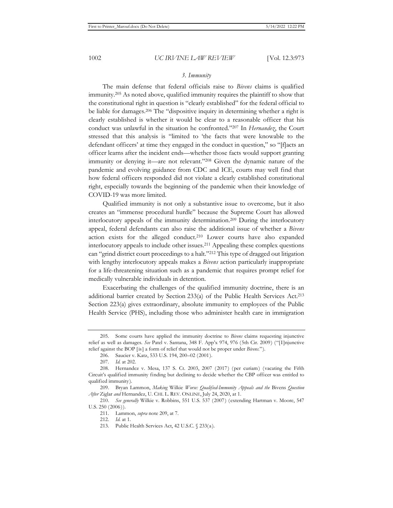## *3. Immunity*

The main defense that federal officials raise to *Bivens* claims is qualified immunity.205 As noted above, qualified immunity requires the plaintiff to show that the constitutional right in question is "clearly established" for the federal official to be liable for damages.206 The "dispositive inquiry in determining whether a right is clearly established is whether it would be clear to a reasonable officer that his conduct was unlawful in the situation he confronted."207 In *Hernandez*, the Court stressed that this analysis is "limited to 'the facts that were knowable to the defendant officers' at time they engaged in the conduct in question," so "[f]acts an officer learns after the incident ends—whether those facts would support granting immunity or denying it—are not relevant."208 Given the dynamic nature of the pandemic and evolving guidance from CDC and ICE, courts may well find that how federal officers responded did not violate a clearly established constitutional right, especially towards the beginning of the pandemic when their knowledge of COVID-19 was more limited.

Qualified immunity is not only a substantive issue to overcome, but it also creates an "immense procedural hurdle" because the Supreme Court has allowed interlocutory appeals of the immunity determination.209 During the interlocutory appeal, federal defendants can also raise the additional issue of whether a *Bivens*  action exists for the alleged conduct.210 Lower courts have also expanded interlocutory appeals to include other issues.211 Appealing these complex questions can "grind district court proceedings to a halt."212 This type of dragged out litigation with lengthy interlocutory appeals makes a *Bivens* action particularly inappropriate for a life-threatening situation such as a pandemic that requires prompt relief for medically vulnerable individuals in detention.

Exacerbating the challenges of the qualified immunity doctrine, there is an additional barrier created by Section 233(a) of the Public Health Services Act.213 Section 223(a) gives extraordinary, absolute immunity to employees of the Public Health Service (PHS), including those who administer health care in immigration

<sup>205.</sup> Some courts have applied the immunity doctrine to *Bivens* claims requesting injunctive relief as well as damages. *See* Patel v. Santana, 348 F. App'x 974, 976 (5th Cir. 2009) ("[I]njunctive relief against the BOP [is] a form of relief that would not be proper under *Bivens*.").

<sup>206.</sup> Saucier v. Katz, 533 U.S. 194, 200–02 (2001).

<sup>207.</sup> *Id.* at 202.

<sup>208.</sup> Hernandez v. Mesa, 137 S. Ct. 2003, 2007 (2017) (per curiam) (vacating the Fifth Circuit's qualified immunity finding but declining to decide whether the CBP officer was entitled to qualified immunity).

<sup>209.</sup> Bryan Lammon, *Making* Wilkie *Worse: Qualified-Immunity Appeals and the* Bivens *Question After* Ziglar *and* Hernandez, U. CHI. L. REV. ONLINE, July 24, 2020, at 1.

<sup>210.</sup> *See generally* Wilkie v. Robbins, 551 U.S. 537 (2007) (extending Hartman v. Moore, 547 U.S. 250 (2006)).

<sup>211.</sup> Lammon, *supra* note 209, at 7.

<sup>212.</sup> *Id.* at 1.

<sup>213.</sup> Public Health Services Act, 42 U.S.C. § 233(a).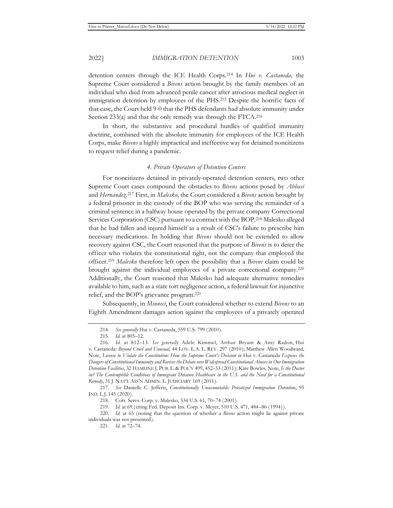detention centers through the ICE Health Corps.214 In *Hui v. Castaneda,* the Supreme Court considered a *Bivens* action brought by the family members of an individual who died from advanced penile cancer after atrocious medical neglect in immigration detention by employees of the PHS.215 Despite the horrific facts of that case, the Court held 9-0 that the PHS defendants had absolute immunity under Section 233(a) and that the only remedy was through the FTCA.<sup>216</sup>

In short, the substantive and procedural hurdles of qualified immunity doctrine, combined with the absolute immunity for employees of the ICE Health Corps, make *Bivens* a highly impractical and ineffective way for detained noncitizens to request relief during a pandemic.

### *4. Private Operators of Detention Centers*

For noncitizens detained in privately-operated detention centers, two other Supreme Court cases compound the obstacles to *Bivens* actions posed by *Abbasi*  and *Hernandez*. 217 First, in *Malesko*, the Court considered a *Bivens* action brought by a federal prisoner in the custody of the BOP who was serving the remainder of a criminal sentence in a halfway house operated by the private company Correctional Services Corporation (CSC) pursuant to a contract with the BOP.218 Malesko alleged that he had fallen and injured himself as a result of CSC's failure to prescribe him necessary medications. In holding that *Bivens* should not be extended to allow recovery against CSC, the Court reasoned that the purpose of *Bivens* is to deter the officer who violates the constitutional right, not the company that employed the officer.219 *Malesko* therefore left open the possibility that a *Bivens* claim could be brought against the individual employees of a private correctional company.220 Additionally, the Court reasoned that Malesko had adequate alternative remedies available to him, such as a state tort negligence action, a federal lawsuit for injunctive relief, and the BOP's grievance program.221

Subsequently, in *Minneci*, the Court considered whether to extend *Bivens* to an Eighth Amendment damages action against the employees of a privately operated

<sup>214.</sup> *See generally* Hui v. Castaneda, 559 U.S. 799 (2010).

<sup>215.</sup> *Id.* at 805–12.

<sup>216.</sup> *Id.* at 812–13. *See generally* Adele Kimmel, Arthur Bryant & Amy Radon, Hui v. Castaneda*: Beyond Cruel and Unusual*, 44 LOY. L.A. L. REV. 297 (2010); Matthew Allen Woodward, Note, *License to Violate the Constitution: How the Supreme Court's Decision in* Hui v. Castaneda *Exposes the Dangers of Constitutional Immunity and Revives the Debate over Widespread Constitutional Abuses in Our Immigration Detention Facilities*, 32 HAMLINE J. PUB. L. & POL'Y 499, 452–53 (2011); Kate Bowles, Note, *Is the Doctor in? The Contemptible Conditions of Immigrant Detainee Healthcare in the U.S. and the Need for a Constitutional Remedy*, 31 J. NAT'L ASS'N ADMIN. L. JUDICIARY 169 (2011).

<sup>217.</sup> *See* Danielle C. Jefferis, *Constitutionally Unaccountable: Privatized Immigration Detention*, 95 IND. L.J. 145 (2020).

<sup>218.</sup> Corr. Servs. Corp. v. Malesko, 534 U.S. 61, 70–74 (2001).

<sup>219.</sup> *Id.* at 69 (citing Fed. Deposit Ins. Corp. v. Meyer, 510 U.S. 471, 484–86 (1994)).

<sup>220.</sup> *Id.* at 65 (noting that the question of whether a *Bivens* action might lie against private individuals was not presented).

<sup>221.</sup> *Id.* at 72–74.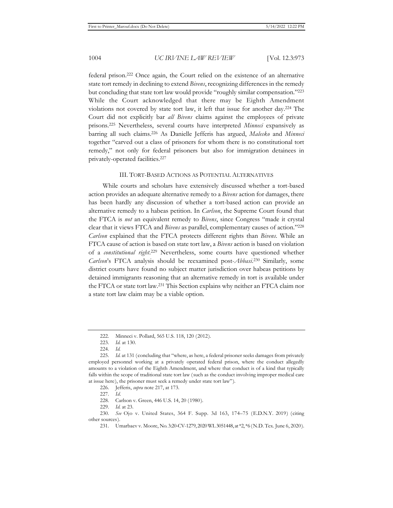federal prison.222 Once again, the Court relied on the existence of an alternative state tort remedy in declining to extend *Bivens*, recognizing differences in the remedy but concluding that state tort law would provide "roughly similar compensation."223 While the Court acknowledged that there may be Eighth Amendment violations not covered by state tort law, it left that issue for another day.224 The Court did not explicitly bar *all Bivens* claims against the employees of private prisons.225 Nevertheless, several courts have interpreted *Minneci* expansively as barring all such claims.226 As Danielle Jefferis has argued, *Malesko* and *Minneci*  together "carved out a class of prisoners for whom there is no constitutional tort remedy," not only for federal prisoners but also for immigration detainees in privately-operated facilities.227

#### III. TORT-BASED ACTIONS AS POTENTIAL ALTERNATIVES

While courts and scholars have extensively discussed whether a tort-based action provides an adequate alternative remedy to a *Bivens* action for damages, there has been hardly any discussion of whether a tort-based action can provide an alternative remedy to a habeas petition. In *Carlson*, the Supreme Court found that the FTCA is *not* an equivalent remedy to *Bivens*, since Congress "made it crystal clear that it views FTCA and *Bivens* as parallel, complementary causes of action."228 *Carlson* explained that the FTCA protects different rights than *Bivens*. While an FTCA cause of action is based on state tort law, a *Bivens* action is based on violation of a *constitutional right*. 229 Nevertheless, some courts have questioned whether *Carlson*'s FTCA analysis should be reexamined post-*Abbasi*. 230 Similarly, some district courts have found no subject matter jurisdiction over habeas petitions by detained immigrants reasoning that an alternative remedy in tort is available under the FTCA or state tort law.231 This Section explains why neither an FTCA claim nor a state tort law claim may be a viable option.

<sup>222.</sup> Minneci v. Pollard, 565 U.S. 118, 120 (2012).

<sup>223.</sup> *Id.* at 130.

<sup>224.</sup> *Id.*

<sup>225.</sup> *Id.* at 131 (concluding that "where, as here, a federal prisoner seeks damages from privately employed personnel working at a privately operated federal prison, where the conduct allegedly amounts to a violation of the Eighth Amendment, and where that conduct is of a kind that typically falls within the scope of traditional state tort law (such as the conduct involving improper medical care at issue here), the prisoner must seek a remedy under state tort law").

<sup>226.</sup> Jefferis, *supra* note 217, at 173.

<sup>227.</sup> *Id.*

<sup>228.</sup> Carlson v. Green, 446 U.S. 14, 20 (1980).

<sup>229.</sup> *Id.* at 23.

<sup>230.</sup> *See* Ojo v. United States, 364 F. Supp. 3d 163, 174–75 (E.D.N.Y. 2019) (citing other sources).

<sup>231.</sup> Umarbaev v. Moore, No. 3:20-CV-1279, 2020 WL 3051448, at \*2, \*6 (N.D. Tex. June 6, 2020).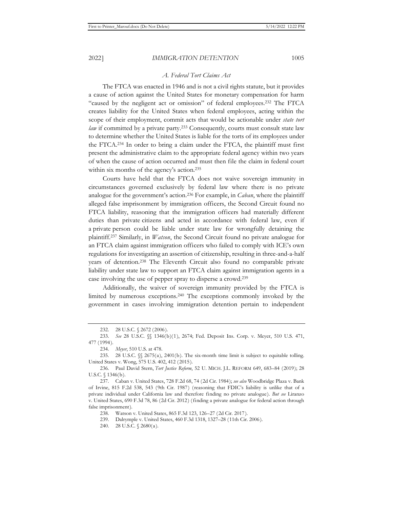## *A. Federal Tort Claims Act*

The FTCA was enacted in 1946 and is not a civil rights statute, but it provides a cause of action against the United States for monetary compensation for harm "caused by the negligent act or omission" of federal employees.232 The FTCA creates liability for the United States when federal employees, acting within the scope of their employment, commit acts that would be actionable under *state tort law* if committed by a private party.<sup>233</sup> Consequently, courts must consult state law to determine whether the United States is liable for the torts of its employees under the FTCA.234 In order to bring a claim under the FTCA, the plaintiff must first present the administrative claim to the appropriate federal agency within two years of when the cause of action occurred and must then file the claim in federal court within six months of the agency's action.<sup>235</sup>

Courts have held that the FTCA does not waive sovereign immunity in circumstances governed exclusively by federal law where there is no private analogue for the government's action.236 For example, in *Caban*, where the plaintiff alleged false imprisonment by immigration officers, the Second Circuit found no FTCA liability, reasoning that the immigration officers had materially different duties than private citizens and acted in accordance with federal law, even if a private person could be liable under state law for wrongfully detaining the plaintiff.237 Similarly, in *Watson*, the Second Circuit found no private analogue for an FTCA claim against immigration officers who failed to comply with ICE's own regulations for investigating an assertion of citizenship, resulting in three-and-a-half years of detention.238 The Eleventh Circuit also found no comparable private liability under state law to support an FTCA claim against immigration agents in a case involving the use of pepper spray to disperse a crowd.239

Additionally, the waiver of sovereign immunity provided by the FTCA is limited by numerous exceptions.240 The exceptions commonly invoked by the government in cases involving immigration detention pertain to independent

<sup>232. 28</sup> U.S.C. § 2672 (2006).

<sup>233.</sup> *See* 28 U.S.C. §§ 1346(b)(1), 2674; Fed. Deposit Ins. Corp. v. Meyer, 510 U.S. 471, 477 (1994).

<sup>234.</sup> *Meyer*, 510 U.S. at 478.

<sup>235. 28</sup> U.S.C.  $\%$  2675(a), 2401(b). The six-month time limit is subject to equitable tolling. United States v. Wong, 575 U.S. 402, 412 (2015).

<sup>236.</sup> Paul David Stern, *Tort Justice Reform*, 52 U. MICH. J.L. REFORM 649, 683–84 (2019); 28 U.S.C. § 1346(b).

<sup>237.</sup> Caban v. United States, 728 F.2d 68, 74 (2d Cir. 1984); *see also* Woodbridge Plaza v. Bank of Irvine, 815 F.2d 538, 543 (9th Cir. 1987) (reasoning that FDIC's liability is unlike that of a private individual under California law and therefore finding no private analogue). *But see* Liranzo v. United States, 690 F.3d 78, 86 (2d Cir. 2012) (finding a private analogue for federal action through false imprisonment).

<sup>238.</sup> Watson v. United States, 865 F.3d 123, 126–27 (2d Cir. 2017).

<sup>239.</sup> Dalrymple v. United States, 460 F.3d 1318, 1327–28 (11th Cir. 2006).

<sup>240. 28</sup> U.S.C. § 2680(a).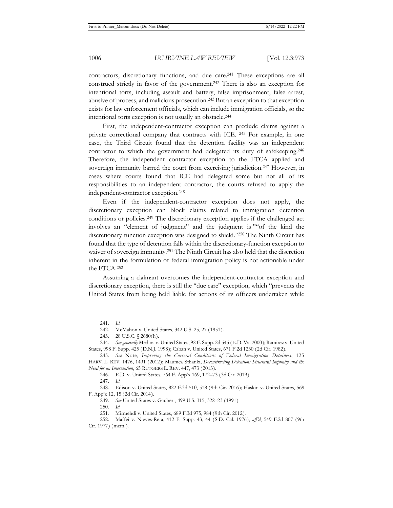contractors, discretionary functions, and due care.241 These exceptions are all construed strictly in favor of the government.242 There is also an exception for intentional torts, including assault and battery, false imprisonment, false arrest, abusive of process, and malicious prosecution.243 But an exception to that exception exists for law enforcement officials, which can include immigration officials, so the intentional torts exception is not usually an obstacle.244

First, the independent-contractor exception can preclude claims against a private correctional company that contracts with ICE. 245 For example, in one case, the Third Circuit found that the detention facility was an independent contractor to which the government had delegated its duty of safekeeping.246 Therefore, the independent contractor exception to the FTCA applied and sovereign immunity barred the court from exercising jurisdiction.<sup>247</sup> However, in cases where courts found that ICE had delegated some but not all of its responsibilities to an independent contractor, the courts refused to apply the independent-contractor exception.248

Even if the independent-contractor exception does not apply, the discretionary exception can block claims related to immigration detention conditions or policies.249 The discretionary exception applies if the challenged act involves an "element of judgment" and the judgment is ""of the kind the discretionary function exception was designed to shield."250 The Ninth Circuit has found that the type of detention falls within the discretionary-function exception to waiver of sovereign immunity.251 The Ninth Circuit has also held that the discretion inherent in the formulation of federal immigration policy is not actionable under the FTCA.252

Assuming a claimant overcomes the independent-contractor exception and discretionary exception, there is still the "due care" exception, which "prevents the United States from being held liable for actions of its officers undertaken while

250. *Id.*

<sup>241.</sup> *Id.*

<sup>242.</sup> McMahon v. United States, 342 U.S. 25, 27 (1951).

<sup>243. 28</sup> U.S.C. § 2680(h).

<sup>244.</sup> *See generally* Medina v. United States, 92 F. Supp. 2d 545 (E.D. Va. 2000); Ramirez v. United States, 998 F. Supp. 425 (D.N.J. 1998); Caban v. United States, 671 F.2d 1230 (2d Cir. 1982).

<sup>245.</sup> *See* Note, *Improving the Carceral Conditions of Federal Immigration Detainees*, 125 HARV. L. REV. 1476, 1491 (2012); Maunica Sthanki, *Deconstructing Detention: Structural Impunity and the Need for an Intervention*, 65 RUTGERS L. REV. 447, 473 (2013).

<sup>246.</sup> E.D. v. United States, 764 F. App'x 169, 172–73 (3d Cir. 2019).

<sup>247.</sup> *Id.* 

<sup>248.</sup> Edison v. United States, 822 F.3d 510, 518 (9th Cir. 2016); Haskin v. United States, 569 F. App'x 12, 15 (2d Cir. 2014).

<sup>249.</sup> *See* United States v. Gaubert, 499 U.S. 315, 322–23 (1991).

<sup>251.</sup> Mirmehdi v. United States, 689 F.3d 975, 984 (9th Cir. 2012).

<sup>252.</sup> Maffei v. Nieves-Reta, 412 F. Supp. 43, 44 (S.D. Cal. 1976), *aff'd*, 549 F.2d 807 (9th Cir. 1977) (mem.).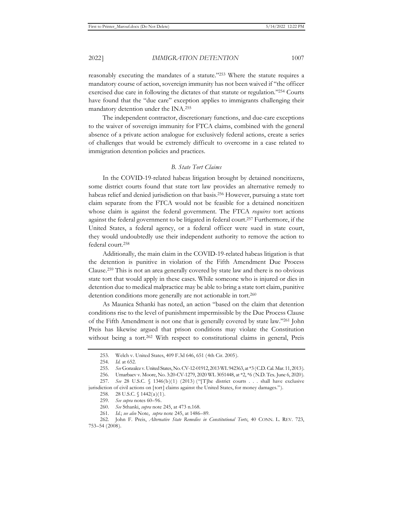reasonably executing the mandates of a statute."253 Where the statute requires a mandatory course of action, sovereign immunity has not been waived if "the officer exercised due care in following the dictates of that statute or regulation."254 Courts have found that the "due care" exception applies to immigrants challenging their mandatory detention under the INA.255

The independent contractor, discretionary functions, and due-care exceptions to the waiver of sovereign immunity for FTCA claims, combined with the general absence of a private action analogue for exclusively federal actions, create a series of challenges that would be extremely difficult to overcome in a case related to immigration detention policies and practices.

## *B. State Tort Claims*

In the COVID-19-related habeas litigation brought by detained noncitizens, some district courts found that state tort law provides an alternative remedy to habeas relief and denied jurisdiction on that basis.256 However, pursuing a state tort claim separate from the FTCA would not be feasible for a detained noncitizen whose claim is against the federal government. The FTCA *requires* tort actions against the federal government to be litigated in federal court.257 Furthermore, if the United States, a federal agency, or a federal officer were sued in state court, they would undoubtedly use their independent authority to remove the action to federal court.258

Additionally, the main claim in the COVID-19-related habeas litigation is that the detention is punitive in violation of the Fifth Amendment Due Process Clause.259 This is not an area generally covered by state law and there is no obvious state tort that would apply in these cases. While someone who is injured or dies in detention due to medical malpractice may be able to bring a state tort claim, punitive detention conditions more generally are not actionable in tort.<sup>260</sup>

As Maunica Sthanki has noted, an action "based on the claim that detention conditions rise to the level of punishment impermissible by the Due Process Clause of the Fifth Amendment is not one that is generally covered by state law."261 John Preis has likewise argued that prison conditions may violate the Constitution without being a tort.<sup>262</sup> With respect to constitutional claims in general, Preis

<sup>253.</sup> Welch v. United States, 409 F.3d 646, 651 (4th Cir. 2005).

<sup>254.</sup> *Id.* at 652.

<sup>255.</sup> *See* Gonzalez v. United States, No. CV-12-01912, 2013 WL 942363, at \*3 (C.D. Cal. Mar. 11, 2013).

<sup>256.</sup> Umarbaev v. Moore, No. 3:20-CV-1279, 2020 WL 3051448, at \*2, \*6 (N.D. Tex. June 6, 2020).

<sup>257.</sup> *See* 28 U.S.C. § 1346(b)(1) (2013) ("[T]he district courts . . . shall have exclusive jurisdiction of civil actions on [tort] claims against the United States, for money damages.").

<sup>258. 28</sup> U.S.C. § 1442(a)(1).

<sup>259.</sup> *See supra* notes 60–96.

<sup>260.</sup> *See* Sthanki, *supra* note 245, at 473 n.168.

<sup>261.</sup> *Id.*; *see also* Note, *supra* note 245, at 1486–89.

<sup>262.</sup> John F. Preis, *Alternative State Remedies in Constitutional Torts*, 40 CONN. L. REV. 723, 753–54 (2008).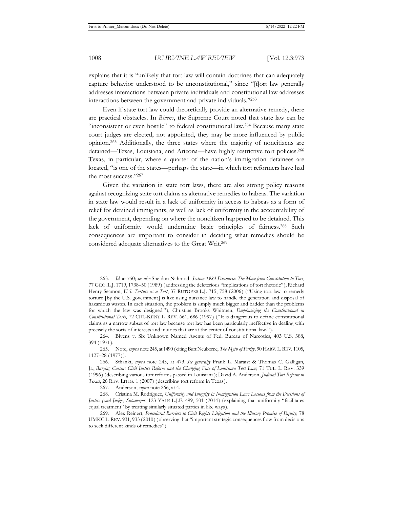explains that it is "unlikely that tort law will contain doctrines that can adequately capture behavior understood to be unconstitutional," since "[t]ort law generally addresses interactions between private individuals and constitutional law addresses interactions between the government and private individuals."263

Even if state tort law could theoretically provide an alternative remedy, there are practical obstacles. In *Bivens*, the Supreme Court noted that state law can be "inconsistent or even hostile" to federal constitutional law.264 Because many state court judges are elected, not appointed, they may be more influenced by public opinion.265 Additionally, the three states where the majority of noncitizens are detained—Texas, Louisiana, and Arizona—have highly restrictive tort policies.266 Texas, in particular, where a quarter of the nation's immigration detainees are located, "is one of the states—perhaps the state—in which tort reformers have had the most success."267

Given the variation in state tort laws, there are also strong policy reasons against recognizing state tort claims as alternative remedies to habeas. The variation in state law would result in a lack of uniformity in access to habeas as a form of relief for detained immigrants, as well as lack of uniformity in the accountability of the government, depending on where the noncitizen happened to be detained. This lack of uniformity would undermine basic principles of fairness.<sup>268</sup> Such consequences are important to consider in deciding what remedies should be considered adequate alternatives to the Great Writ.269

<sup>263.</sup> *Id.* at 750; *see also* Sheldon Nahmod, *Section 1983 Discourse: The Move from Constitution to Tort*, 77 GEO. L.J. 1719, 1738–50 (1989) (addressing the deleterious "implications of tort rhetoric"); Richard Henry Seamon, *U.S. Torture as a Tort*, 37 RUTGERS L.J. 715, 758 (2006) ("Using tort law to remedy torture [by the U.S. government] is like using nuisance law to handle the generation and disposal of hazardous wastes. In each situation, the problem is simply much bigger and badder than the problems for which the law was designed."); Christina Brooks Whitman, *Emphasizing the Constitutional in Constitutional Torts*, 72 CHI.-KENT L. REV. 661, 686 (1997) ("It is dangerous to define constitutional claims as a narrow subset of tort law because tort law has been particularly ineffective in dealing with precisely the sorts of interests and injuries that are at the center of constitutional law.").

<sup>264.</sup> Bivens v. Six Unknown Named Agents of Fed. Bureau of Narcotics, 403 U.S. 388, 394 (1971).

<sup>265.</sup> Note, *supra* note 245, at 1490 (citing Burt Neuborne, *The Myth of Parity*, 90 HARV.L.REV. 1105, 1127–28 (1977)).

<sup>266.</sup> Sthanki, *supra* note 245, at 473. *See generally* Frank L. Maraist & Thomas C. Galligan, Jr., *Burying Caesar: Civil Justice Reform and the Changing Face of Louisiana Tort Law*, 71 TUL. L. REV. 339 (1996) (describing various tort reforms passed in Louisiana); David A. Anderson, *Judicial Tort Reform in Texas*, 26 REV. LITIG. 1 (2007) (describing tort reform in Texas).

<sup>267.</sup> Anderson, *supra* note 266, at 4.

<sup>268.</sup> Cristina M. Rodríguez, *Uniformity and Integrity in Immigration Law: Lessons from the Decisions of Justice (and Judge) Sotomayor*, 123 YALE L.J.F. 499, 501 (2014) (explaining that uniformity "facilitates equal treatment" by treating similarly situated parties in like ways).

<sup>269.</sup> Alex Reinert, *Procedural Barriers to Civil Rights Litigation and the Illusory Promise of Equity*, 78 UMKC L.REV. 931, 933 (2010) (observing that "important strategic consequences flow from decisions to seek different kinds of remedies").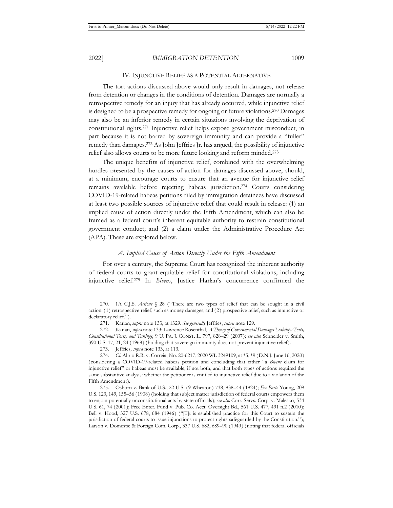#### IV. INJUNCTIVE RELIEF AS A POTENTIAL ALTERNATIVE

The tort actions discussed above would only result in damages, not release from detention or changes in the conditions of detention. Damages are normally a retrospective remedy for an injury that has already occurred, while injunctive relief is designed to be a prospective remedy for ongoing or future violations.270 Damages may also be an inferior remedy in certain situations involving the deprivation of constitutional rights.271 Injunctive relief helps expose government misconduct, in part because it is not barred by sovereign immunity and can provide a "fuller" remedy than damages.272 As John Jeffries Jr. has argued, the possibility of injunctive relief also allows courts to be more future looking and reform minded.273

The unique benefits of injunctive relief, combined with the overwhelming hurdles presented by the causes of action for damages discussed above, should, at a minimum, encourage courts to ensure that an avenue for injunctive relief remains available before rejecting habeas jurisdiction.274 Courts considering COVID-19-related habeas petitions filed by immigration detainees have discussed at least two possible sources of injunctive relief that could result in release: (1) an implied cause of action directly under the Fifth Amendment, which can also be framed as a federal court's inherent equitable authority to restrain constitutional government conduct; and (2) a claim under the Administrative Procedure Act (APA). These are explored below.

## *A. Implied Cause of Action Directly Under the Fifth Amendment*

For over a century, the Supreme Court has recognized the inherent authority of federal courts to grant equitable relief for constitutional violations, including injunctive relief.275 In *Bivens*, Justice Harlan's concurrence confirmed the

<sup>270. 1</sup>A C.J.S. *Actions* § 28 ("There are two types of relief that can be sought in a civil action: (1) retrospective relief, such as money damages, and (2) prospective relief, such as injunctive or declaratory relief.").

<sup>271.</sup> Karlan, *supra* note 133, at 1329. *See generally* Jeffries, *supra* note 129.

<sup>272.</sup> Karlan, *supra* note 133; Lawrence Rosenthal, *A Theory of Governmental Damages Liability: Torts, Constitutional Torts, and Takings*, 9 U. PA. J. CONST. L. 797, 828–29 (2007); *see also* Schneider v. Smith, 390 U.S. 17, 21, 24 (1968) (holding that sovereign immunity does not prevent injunctive relief).

<sup>273.</sup> Jeffries, *supra* note 133, at 113.

<sup>274.</sup> *Cf.* Alirio R.R. v. Correia, No. 20-6217, 2020 WL 3249109, at \*5, \*9 (D.N.J. June 16, 2020) (considering a COVID-19-related habeas petition and concluding that either "a *Bivens* claim for injunctive relief" or habeas must be available, if not both, and that both types of actions required the same substantive analysis: whether the petitioner is entitled to injunctive relief due to a violation of the Fifth Amendment).

<sup>275.</sup> Osborn v. Bank of U.S., 22 U.S. (9 Wheaton) 738, 838–44 (1824); *Ex Parte* Young, 209 U.S. 123, 149, 155–56 (1908) (holding that subject matter jurisdiction of federal courts empowers them to enjoin potentially unconstitutional acts by state officials); *see also* Corr. Servs. Corp. v. Malesko, 534 U.S. 61, 74 (2001); Free Enter. Fund v. Pub. Co. Acct. Oversight Bd., 561 U.S. 477, 491 n.2 (2010); Bell v. Hood, 327 U.S. 678, 684 (1946) ("[I]t is established practice for this Court to sustain the jurisdiction of federal courts to issue injunctions to protect rights safeguarded by the Constitution."); Larson v. Domestic & Foreign Com. Corp., 337 U.S. 682, 689–90 (1949) (noting that federal officials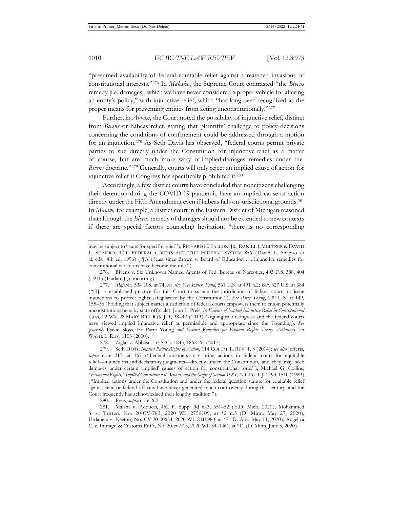"presumed availability of federal equitable relief against threatened invasions of constitutional interests."276 In *Malesko*, the Supreme Court contrasted "the *Bivens* remedy [i.e. damages], which we have never considered a proper vehicle for altering an entity's policy," with injunctive relief, which "has long been recognized as the proper means for preventing entities from acting unconstitutionally."277

Further, in *Abbasi*, the Court noted the possibility of injunctive relief, distinct from *Bivens* or habeas relief, stating that plaintiffs' challenge to policy decisions concerning the conditions of confinement could be addressed through a motion for an injunction.278 As Seth Davis has observed, "federal courts permit private parties to sue directly under the Constitution for injunctive relief as a matter of course, but are much more wary of implied damages remedies under the *Bivens* doctrine."279 Generally, courts will only reject an implied cause of action for injunctive relief if Congress has specifically prohibited it.280

Accordingly, a few district courts have concluded that noncitizens challenging their detention during the COVID-19 pandemic have an implied cause of action directly under the Fifth Amendment even if habeas fails on jurisdictional grounds.281 In *Malam,* for example, a district court in the Eastern District of Michigan reasoned that although the *Bivens* remedy of damages should not be extended to new contexts if there are special factors counseling hesitation, "there is no corresponding

278. Ziglar v. Abbasi, 137 S. Ct. 1843, 1862–63 (2017).

279. Seth Davis, *Implied Public Rights of Action*, 114 COLUM. L. REV. 1, 8 (2014); *see also* Jefferis, *supra* note 217, at 167 ("Federal prisoners may bring actions in federal court for equitable relief—injunctions and declaratory judgments—directly under the Constitution, and they may seek damages under certain 'implied' causes of action for constitutional torts."); Michael G. Collins, *"Economic Rights," Implied Constitutional Actions, and the Scope of Section 1983*, 77 GEO. L.J. 1493, 1510 (1989) ("Implied actions under the Constitution and under the federal question statute for equitable relief against state or federal officers have never generated much controversy during this century, and the Court frequently has acknowledged their lengthy tradition.").

280. Preis, *supra* note 262.

281. Malam v. Adducci, 452 F. Supp. 3d 643, 651–52 (E.D. Mich. 2020); Mohammed S. v. Tritten, No. 20-CV-783, 2020 WL 2750109, at \*2 n.5 (D. Minn. May 27, 2020); Urdaneta v. Keeton, No. CV-20-00654, 2020 WL 2319980, at \*7 (D. Ariz. May 11, 2020); Angelica C. v. Immigr. & Customs Enf't, No. 20-cv-913, 2020 WL 3441461, at \*11 (D. Minn. June 5, 2020).

may be subject to "suits for specific relief"); RICHARD H. FALLON, JR., DANIEL J. MELTZER & DAVID L. SHAPIRO, THE FEDERAL COURTS AND THE FEDERAL SYSTEM 856 (David L. Shapiro et al. eds., 4th ed. 1996) ("[A]t least since Brown v. Board of Education . . . injunctive remedies for constitutional violations have become the rule.").

<sup>276.</sup> Bivens v. Six Unknown Named Agents of Fed. Bureau of Narcotics, 403 U.S. 388, 404 (1971) (Harlan, J., concurring).

<sup>277.</sup> *Malesko*, 534 U.S. at 74; *see also Free Enter. Fund*, 561 U.S. at 491 n.2; *Bell*, 327 U.S. at 684 ("[I]t is established practice for this Court to sustain the jurisdiction of federal courts to issue injunctions to protect rights safeguarded by the Constitution."); *Ex Parte Young*, 209 U.S. at 149, 155–56 (holding that subject matter jurisdiction of federal courts empowers them to enjoin potentially unconstitutional acts by state officials); John F. Preis, *In Defense of Implied Injunctive Relief in Constitutional Cases*, 22 WM. & MARY BILL RTS. J. 1, 38–42 (2013) (arguing that Congress and the federal courts have viewed implied injunctive relief as permissible and appropriate since the Founding). *See generally* David Sloss, Ex Parte Young *and Federal Remedies for Human Rights Treaty Violations*, 75 WASH. L. REV. 1103 (2000).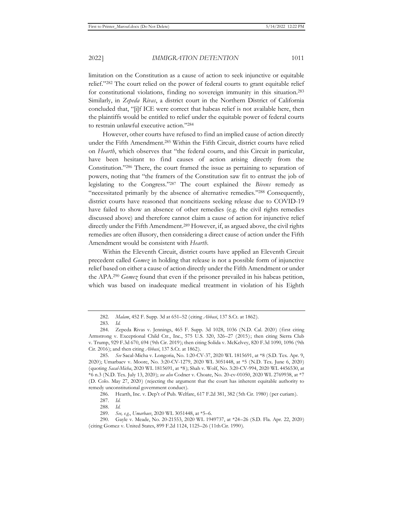limitation on the Constitution as a cause of action to seek injunctive or equitable relief."282 The court relied on the power of federal courts to grant equitable relief for constitutional violations, finding no sovereign immunity in this situation.283 Similarly, in *Zepeda Rivas*, a district court in the Northern District of California concluded that, "[i]f ICE were correct that habeas relief is not available here, then the plaintiffs would be entitled to relief under the equitable power of federal courts to restrain unlawful executive action."284

However, other courts have refused to find an implied cause of action directly under the Fifth Amendment.285 Within the Fifth Circuit, district courts have relied on *Hearth*, which observes that "the federal courts, and this Circuit in particular, have been hesitant to find causes of action arising directly from the Constitution."286 There, the court framed the issue as pertaining to separation of powers, noting that "the framers of the Constitution saw fit to entrust the job of legislating to the Congress."287 The court explained the *Bivens* remedy as "necessitated primarily by the absence of alternative remedies."288 Consequently, district courts have reasoned that noncitizens seeking release due to COVID-19 have failed to show an absence of other remedies (e.g. the civil rights remedies discussed above) and therefore cannot claim a cause of action for injunctive relief directly under the Fifth Amendment.<sup>289</sup> However, if, as argued above, the civil rights remedies are often illusory, then considering a direct cause of action under the Fifth Amendment would be consistent with *Hearth*.

Within the Eleventh Circuit, district courts have applied an Eleventh Circuit precedent called *Gomez* in holding that release is not a possible form of injunctive relief based on either a cause of action directly under the Fifth Amendment or under the APA.290 *Gomez* found that even if the prisoner prevailed in his habeas petition, which was based on inadequate medical treatment in violation of his Eighth

<sup>282.</sup> *Malam*, 452 F. Supp. 3d at 651–52 (citing *Abbasi*, 137 S.Ct. at 1862).

<sup>283.</sup> *Id.* 

<sup>284.</sup> Zepeda Rivas v. Jennings, 465 F. Supp. 3d 1028, 1036 (N.D. Cal. 2020) (first citing Armstrong v. Exceptional Child Ctr., Inc., 575 U.S. 320, 326–27 (2015); then citing Sierra Club v. Trump, 929 F.3d 670, 694 (9th Cir. 2019); then citing Solida v. McKelvey, 820 F.3d 1090, 1096 (9th Cir. 2016); and then citing *Abbasi*, 137 S.Ct. at 1862).

<sup>285.</sup> *See* Sacal-Micha v. Longoria, No. 1:20-CV-37, 2020 WL 1815691, at \*8 (S.D. Tex. Apr. 9, 2020); Umarbaev v. Moore, No. 3:20-CV-1279, 2020 WL 3051448, at \*5 (N.D. Tex. June 6, 2020) (quoting *Sacal-Micha*, 2020 WL 1815691, at \*8); Shah v. Wolf, No. 3:20-CV-994, 2020 WL 4456530, at \*6 n.3 (N.D. Tex. July 13, 2020); *see also* Codner v. Choate, No. 20-cv-01050, 2020 WL 2769938, at \*7 (D. Colo. May 27, 2020) (rejecting the argument that the court has inherent equitable authority to remedy unconstitutional government conduct).

<sup>286.</sup> Hearth, Inc. v. Dep't of Pub. Welfare, 617 F.2d 381, 382 (5th Cir. 1980) (per curiam).

<sup>287.</sup> *Id.* 

<sup>288.</sup> *Id.* 

<sup>289.</sup> *See, e.g.*, *Umarbaev*, 2020 WL 3051448, at \*5–6.

<sup>290.</sup> Gayle v. Meade, No. 20-21553, 2020 WL 1949737, at \*24–26 (S.D. Fla. Apr. 22, 2020) (citing Gomez v. United States, 899 F.2d 1124, 1125–26 (11thCir. 1990).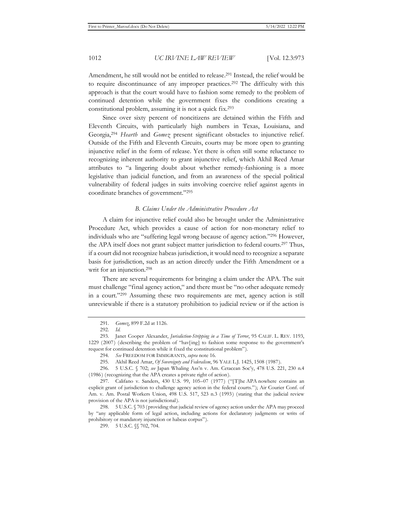Amendment, he still would not be entitled to release.291 Instead, the relief would be to require discontinuance of any improper practices.292 The difficulty with this approach is that the court would have to fashion some remedy to the problem of continued detention while the government fixes the conditions creating a constitutional problem, assuming it is not a quick fix.293

Since over sixty percent of noncitizens are detained within the Fifth and Eleventh Circuits, with particularly high numbers in Texas, Louisiana, and Georgia,294 *Hearth* and *Gomez* present significant obstacles to injunctive relief. Outside of the Fifth and Eleventh Circuits, courts may be more open to granting injunctive relief in the form of release. Yet there is often still some reluctance to recognizing inherent authority to grant injunctive relief, which Akhil Reed Amar attributes to "a lingering doubt about whether remedy-fashioning is a more legislative than judicial function, and from an awareness of the special political vulnerability of federal judges in suits involving coercive relief against agents in coordinate branches of government."295

## *B. Claims Under the Administrative Procedure Act*

A claim for injunctive relief could also be brought under the Administrative Procedure Act, which provides a cause of action for non-monetary relief to individuals who are "suffering legal wrong because of agency action."296 However, the APA itself does not grant subject matter jurisdiction to federal courts.297 Thus, if a court did not recognize habeas jurisdiction, it would need to recognize a separate basis for jurisdiction, such as an action directly under the Fifth Amendment or a writ for an injunction.<sup>298</sup>

There are several requirements for bringing a claim under the APA. The suit must challenge "final agency action," and there must be "no other adequate remedy in a court."299 Assuming these two requirements are met, agency action is still unreviewable if there is a statutory prohibition to judicial review or if the action is

<sup>291.</sup> *Gomez*, 899 F.2d at 1126.

<sup>292.</sup> *Id.* 

<sup>293.</sup> Janet Cooper Alexander, *Jurisdiction-Stripping in a Time of Terror*, 95 CALIF. L. REV. 1193, 1229 (2007) (describing the problem of "hav[ing] to fashion some response to the government's request for continued detention while it fixed the constitutional problem").

<sup>294.</sup> *See* FREEDOM FOR IMMIGRANTS, *supra* note 16.

<sup>295.</sup> Akhil Reed Amar, *Of Sovereignty and Federalism*, 96 YALE L.J. 1425, 1508 (1987).

<sup>296. 5</sup> U.S.C. § 702; *see* Japan Whaling Ass'n v. Am. Cetacean Soc'y, 478 U.S. 221, 230 n.4 (1986) (recognizing that the APA creates a private right of action).

<sup>297.</sup> Califano v. Sanders, 430 U.S. 99, 105–07 (1977) ("[T]he APA nowhere contains an explicit grant of jurisdiction to challenge agency action in the federal courts."); Air Courier Conf. of Am. v. Am. Postal Workers Union, 498 U.S. 517, 523 n.3 (1993) (stating that the judicial review provision of the APA is not jurisdictional).

<sup>298. 5</sup> U.S.C. § 703 (providing that judicial review of agency action under the APA may proceed by "any applicable form of legal action, including actions for declaratory judgments or writs of prohibitory or mandatory injunction or habeas corpus").

<sup>299. 5</sup> U.S.C. §§ 702, 704.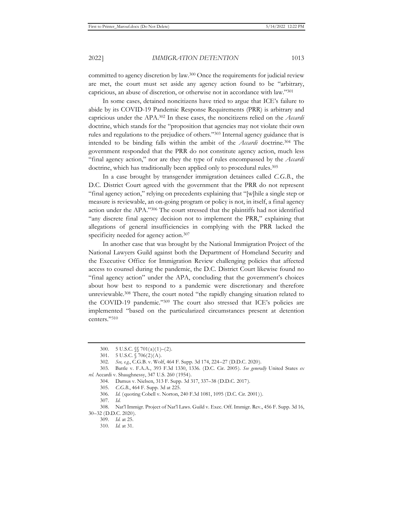committed to agency discretion by law.300 Once the requirements for judicial review are met, the court must set aside any agency action found to be "arbitrary, capricious, an abuse of discretion, or otherwise not in accordance with law."301

In some cases, detained noncitizens have tried to argue that ICE's failure to abide by its COVID-19 Pandemic Response Requirements (PRR) is arbitrary and capricious under the APA.302 In these cases, the noncitizens relied on the *Accardi* doctrine, which stands for the "proposition that agencies may not violate their own rules and regulations to the prejudice of others."303 Internal agency guidance that is intended to be binding falls within the ambit of the *Accardi* doctrine.304 The government responded that the PRR do not constitute agency action, much less "final agency action," nor are they the type of rules encompassed by the *Accardi*  doctrine, which has traditionally been applied only to procedural rules.<sup>305</sup>

In a case brought by transgender immigration detainees called *C.G.B.*, the D.C. District Court agreed with the government that the PRR do not represent "final agency action," relying on precedents explaining that "[w]hile a single step or measure is reviewable, an on-going program or policy is not, in itself, a final agency action under the APA."306 The court stressed that the plaintiffs had not identified "any discrete final agency decision not to implement the PRR," explaining that allegations of general insufficiencies in complying with the PRR lacked the specificity needed for agency action.<sup>307</sup>

In another case that was brought by the National Immigration Project of the National Lawyers Guild against both the Department of Homeland Security and the Executive Office for Immigration Review challenging policies that affected access to counsel during the pandemic, the D.C. District Court likewise found no "final agency action" under the APA, concluding that the government's choices about how best to respond to a pandemic were discretionary and therefore unreviewable.308 There, the court noted "the rapidly changing situation related to the COVID-19 pandemic."309 The court also stressed that ICE's policies are implemented "based on the particularized circumstances present at detention centers."310

<sup>300. 5</sup> U.S.C. §§ 701(a)(1)–(2).

<sup>301. 5</sup> U.S.C. § 706(2)(A).

<sup>302.</sup> *See, e.g.*, C.G.B. v. Wolf, 464 F. Supp. 3d 174, 224–27 (D.D.C. 2020).

<sup>303.</sup> Battle v. F.A.A., 393 F.3d 1330, 1336. (D.C. Cir. 2005). *See generally* United States *ex rel.* Accardi v. Shaughnessy, 347 U.S. 260 (1954).

<sup>304.</sup> Damus v. Nielsen, 313 F. Supp. 3d 317, 337–38 (D.D.C. 2017).

<sup>305.</sup> *C.G.B.*, 464 F. Supp. 3d at 225.

<sup>306.</sup> *Id.* (quoting Cobell v. Norton, 240 F.3d 1081, 1095 (D.C. Cir. 2001)).

<sup>307.</sup> *Id*.

<sup>308.</sup> Nat'l Immigr. Project of Nat'l Laws. Guild v. Exec. Off. Immigr. Rev., 456 F. Supp. 3d 16, 30–32 (D.D.C. 2020).

<sup>309.</sup> *Id.* at 25.

<sup>310.</sup> *Id.* at 31.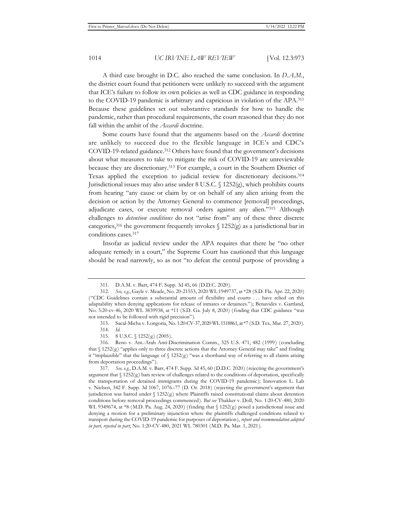A third case brought in D.C. also reached the same conclusion. In *D.A.M.*, the district court found that petitioners were unlikely to succeed with the argument that ICE's failure to follow its own policies as well as CDC guidance in responding to the COVID-19 pandemic is arbitrary and capricious in violation of the APA.311 Because these guidelines set out substantive standards for how to handle the pandemic, rather than procedural requirements, the court reasoned that they do not fall within the ambit of the *Accardi* doctrine.

Some courts have found that the arguments based on the *Accardi* doctrine are unlikely to succeed due to the flexible language in ICE's and CDC's COVID-19-related guidance.312 Others have found that the government's decisions about what measures to take to mitigate the risk of COVID-19 are unreviewable because they are discretionary.313 For example, a court in the Southern District of Texas applied the exception to judicial review for discretionary decisions.314 Jurisdictional issues may also arise under 8 U.S.C. § 1252(g), which prohibits courts from hearing "any cause or claim by or on behalf of any alien arising from the decision or action by the Attorney General to commence [removal] proceedings, adjudicate cases, or execute removal orders against any alien."315 Although challenges to *detention conditions* do not "arise from" any of these three discrete categories,<sup>316</sup> the government frequently invokes  $\int$  1252(g) as a jurisdictional bar in conditions cases.317

Insofar as judicial review under the APA requires that there be "no other adequate remedy in a court," the Supreme Court has cautioned that this language should be read narrowly, so as not "to defeat the central purpose of providing a

<sup>311.</sup> D.A.M. v. Barr, 474 F. Supp. 3d 45, 66 (D.D.C. 2020).

<sup>312.</sup> *See, e.g.*, Gayle v. Meade, No. 20-21553, 2020 WL 1949737, at \*28 (S.D. Fla. Apr. 22, 2020) ("CDC Guidelines contain a substantial amount of flexibility and courts . . . have relied on this adaptability when denying applications for release of inmates or detainees."); Benavides v. Gartland, No. 5:20-cv-46, 2020 WL 3839938, at \*11 (S.D. Ga. July 8, 2020) (finding that CDC guidance "was not intended to be followed with rigid precision").

<sup>313.</sup> Sacal-Micha v. Longoria, No. 1:20-CV-37, 2020 WL 1518861, at \*7 (S.D. Tex. Mar. 27, 2020).

<sup>314.</sup> *Id.*

<sup>315. 8</sup> U.S.C. § 1252(g) (2005).

<sup>316.</sup> Reno v. Am.-Arab Anti-Discrimination Comm., 525 U.S. 471, 482 (1999) (concluding that  $\S 1252(g)$  "applies only to three discrete actions that the Attorney General may take" and finding it "implausible" that the language of  $\S$  1252(g) "was a shorthand way of referring to all claims arising from deportation proceedings").

<sup>317.</sup> *See, e.g.*, D.A.M. v. Barr, 474 F. Supp. 3d 45, 60 (D.D.C. 2020) (rejecting the government's argument that  $\S 1252(g)$  bars review of challenges related to the conditions of deportation, specifically the transportation of detained immigrants during the COVID-19 pandemic); Innovation L. Lab v. Nielsen, 342 F. Supp. 3d 1067, 1076–77 (D. Or. 2018) (rejecting the government's argument that jurisdiction was barred under  $\frac{1252(g)}{g}$  where Plaintiffs raised constitutional claims about detention conditions before removal proceedings commenced). *But see* Thakker v. Doll, No. 1:20-CV-480, 2020 WL 9349674, at \*8 (M.D. Pa. Aug. 24, 2020) (finding that  $\int$  1252(g) posed a jurisdictional issue and denying a motion for a preliminary injunction where the plaintiffs challenged conditions related to transport during the COVID-19 pandemic for purposes of deportation), *report and recommendation adopted in part, rejected in part*, No. 1:20-CV-480, 2021 WL 780301 (M.D. Pa. Mar. 1, 2021).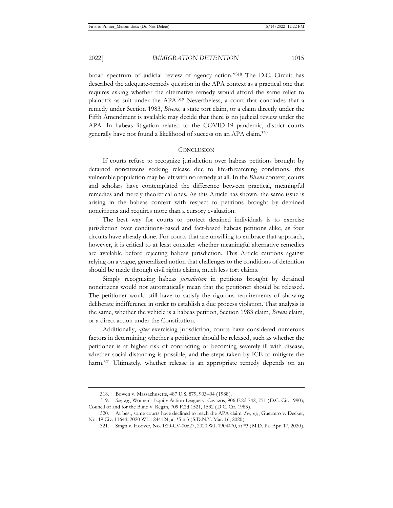broad spectrum of judicial review of agency action."318 The D.C. Circuit has described the adequate-remedy question in the APA context as a practical one that requires asking whether the alternative remedy would afford the same relief to plaintiffs as suit under the APA.319 Nevertheless, a court that concludes that a remedy under Section 1983, *Bivens*, a state tort claim, or a claim directly under the Fifth Amendment is available may decide that there is no judicial review under the APA. In habeas litigation related to the COVID-19 pandemic, district courts generally have not found a likelihood of success on an APA claim.320

#### **CONCLUSION**

If courts refuse to recognize jurisdiction over habeas petitions brought by detained noncitizens seeking release due to life-threatening conditions, this vulnerable population may be left with no remedy at all. In the *Bivens* context, courts and scholars have contemplated the difference between practical, meaningful remedies and merely theoretical ones. As this Article has shown, the same issue is arising in the habeas context with respect to petitions brought by detained noncitizens and requires more than a cursory evaluation.

The best way for courts to protect detained individuals is to exercise jurisdiction over conditions-based and fact-based habeas petitions alike, as four circuits have already done. For courts that are unwilling to embrace that approach, however, it is critical to at least consider whether meaningful alternative remedies are available before rejecting habeas jurisdiction. This Article cautions against relying on a vague, generalized notion that challenges to the conditions of detention should be made through civil rights claims, much less tort claims.

Simply recognizing habeas *jurisdiction* in petitions brought by detained noncitizens would not automatically mean that the petitioner should be released. The petitioner would still have to satisfy the rigorous requirements of showing deliberate indifference in order to establish a due process violation. That analysis is the same, whether the vehicle is a habeas petition, Section 1983 claim, *Bivens* claim, or a direct action under the Constitution.

Additionally, *after* exercising jurisdiction, courts have considered numerous factors in determining whether a petitioner should be released, such as whether the petitioner is at higher risk of contracting or becoming severely ill with disease, whether social distancing is possible, and the steps taken by ICE to mitigate the harm.<sup>321</sup> Ultimately, whether release is an appropriate remedy depends on an

<sup>318.</sup> Bowen v. Massachusetts, 487 U.S. 879, 903–04 (1988).

<sup>319.</sup> *See, e.g.*, Women's Equity Action League v. Cavazos, 906 F.2d 742, 751 (D.C. Cir. 1990); Council of and for the Blind v. Regan, 709 F.2d 1521, 1532 (D.C. Cir. 1983).

<sup>320.</sup> At best, some courts have declined to reach the APA claim. *See*, *e.g.*, Guerrero v. Decker, No. 19 Civ. 11644, 2020 WL 1244124, at \*5 n.3 (S.D.N.Y. Mar. 16, 2020).

<sup>321.</sup> Singh v. Hoover, No. 1:20-CV-00627, 2020 WL 1904470, at \*3 (M.D. Pa. Apr. 17, 2020).